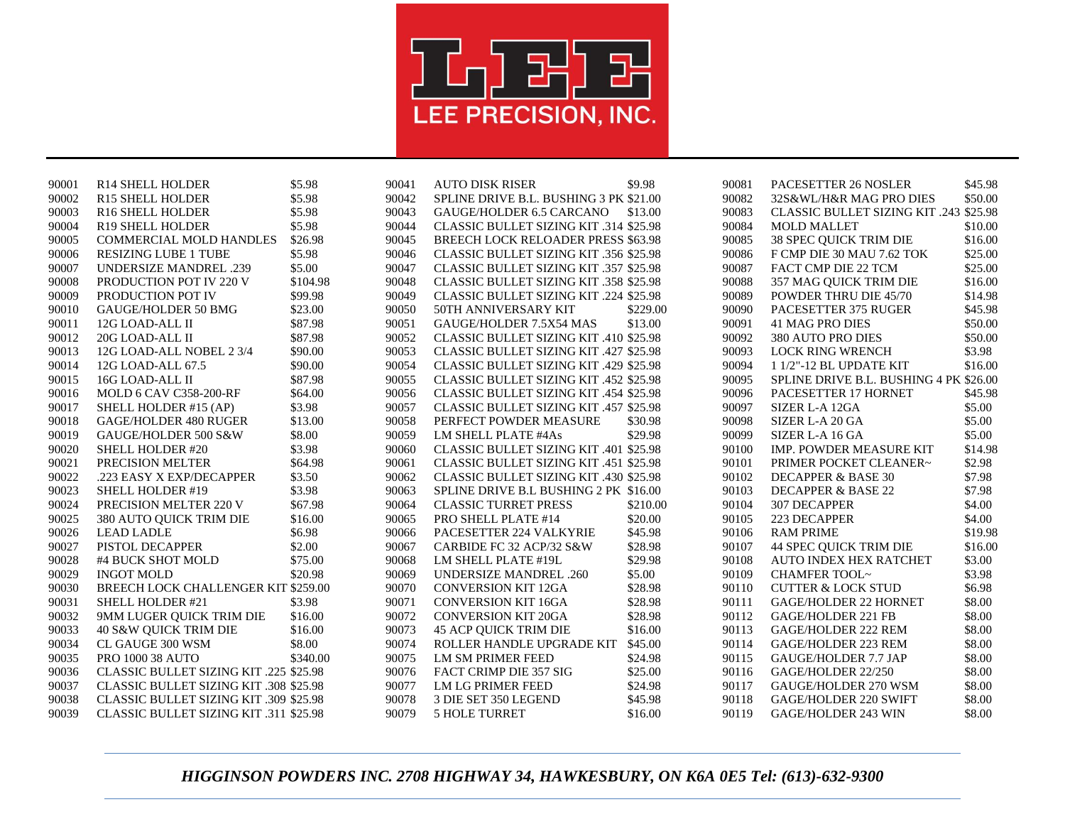

| 90001 | <b>R14 SHELL HOLDER</b>                       | \$5.98   | 90041 | <b>AUTO DISK RISER</b>                        | \$9.98   | 90081 | PACESETTER 26 NOSLER                   | \$45.98 |
|-------|-----------------------------------------------|----------|-------|-----------------------------------------------|----------|-------|----------------------------------------|---------|
| 90002 | R15 SHELL HOLDER                              | \$5.98   | 90042 | SPLINE DRIVE B.L. BUSHING 3 PK \$21.00        |          | 90082 | 32S&WL/H&R MAG PRO DIES                | \$50.00 |
| 90003 | R16 SHELL HOLDER                              | \$5.98   | 90043 | GAUGE/HOLDER 6.5 CARCANO                      | \$13.00  | 90083 | CLASSIC BULLET SIZING KIT .243 \$25.98 |         |
| 90004 | <b>R19 SHELL HOLDER</b>                       | \$5.98   | 90044 | <b>CLASSIC BULLET SIZING KIT .314 \$25.98</b> |          | 90084 | <b>MOLD MALLET</b>                     | \$10.00 |
| 90005 | <b>COMMERCIAL MOLD HANDLES</b>                | \$26.98  | 90045 | <b>BREECH LOCK RELOADER PRESS \$63.98</b>     |          | 90085 | 38 SPEC QUICK TRIM DIE                 | \$16.00 |
| 90006 | <b>RESIZING LUBE 1 TUBE</b>                   | \$5.98   | 90046 | <b>CLASSIC BULLET SIZING KIT .356 \$25.98</b> |          | 90086 | F CMP DIE 30 MAU 7.62 TOK              | \$25.00 |
| 90007 | <b>UNDERSIZE MANDREL .239</b>                 | \$5.00   | 90047 | <b>CLASSIC BULLET SIZING KIT .357 \$25.98</b> |          | 90087 | FACT CMP DIE 22 TCM                    | \$25.00 |
| 90008 | <b>PRODUCTION POT IV 220 V</b>                | \$104.98 | 90048 | <b>CLASSIC BULLET SIZING KIT .358 \$25.98</b> |          | 90088 | 357 MAG QUICK TRIM DIE                 | \$16.00 |
| 90009 | PRODUCTION POT IV                             | \$99.98  | 90049 | CLASSIC BULLET SIZING KIT .224 \$25.98        |          | 90089 | POWDER THRU DIE 45/70                  | \$14.98 |
| 90010 | GAUGE/HOLDER 50 BMG                           | \$23.00  | 90050 | 50TH ANNIVERSARY KIT                          | \$229.00 | 90090 | <b>PACESETTER 375 RUGER</b>            | \$45.98 |
| 90011 | 12G LOAD-ALL II                               | \$87.98  | 90051 | GAUGE/HOLDER 7.5X54 MAS                       | \$13.00  | 90091 | 41 MAG PRO DIES                        | \$50.00 |
| 90012 | 20G LOAD-ALL II                               | \$87.98  | 90052 | CLASSIC BULLET SIZING KIT .410 \$25.98        |          | 90092 | <b>380 AUTO PRO DIES</b>               | \$50.00 |
| 90013 | 12G LOAD-ALL NOBEL 2 3/4                      | \$90.00  | 90053 | CLASSIC BULLET SIZING KIT .427 \$25.98        |          | 90093 | <b>LOCK RING WRENCH</b>                | \$3.98  |
| 90014 | 12G LOAD-ALL 67.5                             | \$90.00  | 90054 | CLASSIC BULLET SIZING KIT .429 \$25.98        |          | 90094 | 1 1/2"-12 BL UPDATE KIT                | \$16.00 |
| 90015 | 16G LOAD-ALL II                               | \$87.98  | 90055 | CLASSIC BULLET SIZING KIT .452 \$25.98        |          | 90095 | SPLINE DRIVE B.L. BUSHING 4 PK \$26.00 |         |
| 90016 | <b>MOLD 6 CAV C358-200-RF</b>                 | \$64.00  | 90056 | CLASSIC BULLET SIZING KIT .454 \$25.98        |          | 90096 | PACESETTER 17 HORNET                   | \$45.98 |
| 90017 | SHELL HOLDER #15 (AP)                         | \$3.98   | 90057 | CLASSIC BULLET SIZING KIT .457 \$25.98        |          | 90097 | SIZER L-A 12GA                         | \$5.00  |
| 90018 | <b>GAGE/HOLDER 480 RUGER</b>                  | \$13.00  | 90058 | PERFECT POWDER MEASURE                        | \$30.98  | 90098 | SIZER L-A 20 GA                        | \$5.00  |
| 90019 | GAUGE/HOLDER 500 S&W                          | \$8.00   | 90059 | LM SHELL PLATE #4As                           | \$29.98  | 90099 | SIZER L-A 16 GA                        | \$5.00  |
| 90020 | <b>SHELL HOLDER #20</b>                       | \$3.98   | 90060 | CLASSIC BULLET SIZING KIT .401 \$25.98        |          | 90100 | IMP. POWDER MEASURE KIT                | \$14.98 |
| 90021 | PRECISION MELTER                              | \$64.98  | 90061 | CLASSIC BULLET SIZING KIT .451 \$25.98        |          | 90101 | PRIMER POCKET CLEANER~                 | \$2.98  |
| 90022 | .223 EASY X EXP/DECAPPER                      | \$3.50   | 90062 | CLASSIC BULLET SIZING KIT .430 \$25.98        |          | 90102 | DECAPPER & BASE 30                     | \$7.98  |
| 90023 | SHELL HOLDER #19                              | \$3.98   | 90063 | SPLINE DRIVE B.L BUSHING 2 PK \$16.00         |          | 90103 | DECAPPER & BASE 22                     | \$7.98  |
| 90024 | PRECISION MELTER 220 V                        | \$67.98  | 90064 | <b>CLASSIC TURRET PRESS</b>                   | \$210.00 | 90104 | 307 DECAPPER                           | \$4.00  |
| 90025 | <b>380 AUTO QUICK TRIM DIE</b>                | \$16.00  | 90065 | PRO SHELL PLATE #14                           | \$20.00  | 90105 | 223 DECAPPER                           | \$4.00  |
| 90026 | <b>LEAD LADLE</b>                             | \$6.98   | 90066 | PACESETTER 224 VALKYRIE                       | \$45.98  | 90106 | <b>RAM PRIME</b>                       | \$19.98 |
| 90027 | PISTOL DECAPPER                               | \$2.00   | 90067 | CARBIDE FC 32 ACP/32 S&W                      | \$28.98  | 90107 | 44 SPEC OUICK TRIM DIE                 | \$16.00 |
| 90028 | #4 BUCK SHOT MOLD                             | \$75.00  | 90068 | LM SHELL PLATE #19L                           | \$29.98  | 90108 | <b>AUTO INDEX HEX RATCHET</b>          | \$3.00  |
| 90029 | <b>INGOT MOLD</b>                             | \$20.98  | 90069 | <b>UNDERSIZE MANDREL .260</b>                 | \$5.00   | 90109 | CHAMFER TOOL~                          | \$3.98  |
| 90030 | BREECH LOCK CHALLENGER KIT \$259.00           |          | 90070 | <b>CONVERSION KIT 12GA</b>                    | \$28.98  | 90110 | <b>CUTTER &amp; LOCK STUD</b>          | \$6.98  |
| 90031 | SHELL HOLDER #21                              | \$3.98   | 90071 | <b>CONVERSION KIT 16GA</b>                    | \$28.98  | 90111 | <b>GAGE/HOLDER 22 HORNET</b>           | \$8.00  |
| 90032 | 9MM LUGER QUICK TRIM DIE                      | \$16.00  | 90072 | <b>CONVERSION KIT 20GA</b>                    | \$28.98  | 90112 | <b>GAGE/HOLDER 221 FB</b>              | \$8.00  |
| 90033 | 40 S&W QUICK TRIM DIE                         | \$16.00  | 90073 | <b>45 ACP QUICK TRIM DIE</b>                  | \$16.00  | 90113 | GAGE/HOLDER 222 REM                    | \$8.00  |
| 90034 | CL GAUGE 300 WSM                              | \$8.00   | 90074 | ROLLER HANDLE UPGRADE KIT \$45.00             |          | 90114 | GAGE/HOLDER 223 REM                    | \$8.00  |
| 90035 | <b>PRO 1000 38 AUTO</b>                       | \$340.00 | 90075 | LM SM PRIMER FEED                             | \$24.98  | 90115 | GAUGE/HOLDER 7.7 JAP                   | \$8.00  |
| 90036 | CLASSIC BULLET SIZING KIT .225 \$25.98        |          | 90076 | FACT CRIMP DIE 357 SIG                        | \$25.00  | 90116 | GAGE/HOLDER 22/250                     | \$8.00  |
| 90037 | CLASSIC BULLET SIZING KIT .308 \$25.98        |          | 90077 | <b>LM LG PRIMER FEED</b>                      | \$24.98  | 90117 | GAUGE/HOLDER 270 WSM                   | \$8.00  |
| 90038 | <b>CLASSIC BULLET SIZING KIT .309 \$25.98</b> |          | 90078 | 3 DIE SET 350 LEGEND                          | \$45.98  | 90118 | GAGE/HOLDER 220 SWIFT                  | \$8.00  |
| 90039 | CLASSIC BULLET SIZING KIT .311 \$25.98        |          | 90079 | <b>5 HOLE TURRET</b>                          | \$16.00  | 90119 | GAGE/HOLDER 243 WIN                    | \$8.00  |
|       |                                               |          |       |                                               |          |       |                                        |         |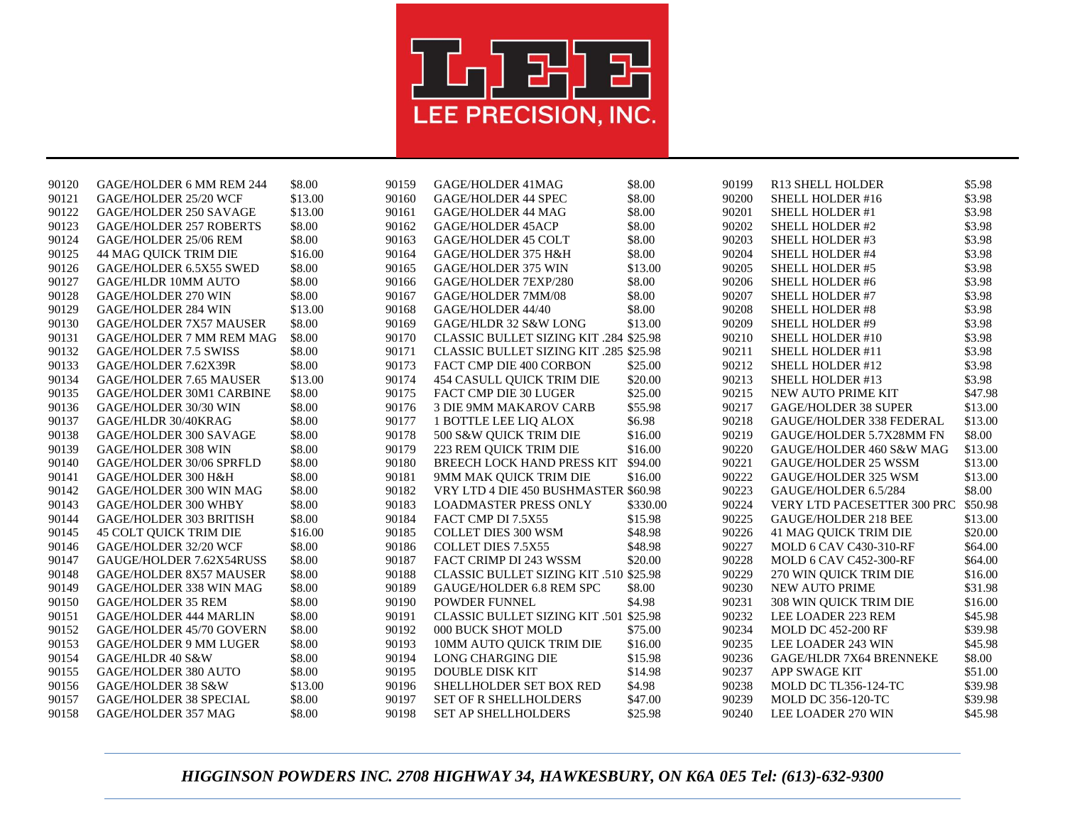

| 90120 | GAGE/HOLDER 6 MM REM 244       | \$8.00  | 90159 | GAGE/HOLDER 41MAG                             | \$8.00   | 90199 | <b>R13 SHELL HOLDER</b>         | \$5.98  |
|-------|--------------------------------|---------|-------|-----------------------------------------------|----------|-------|---------------------------------|---------|
| 90121 | GAGE/HOLDER 25/20 WCF          | \$13.00 | 90160 | <b>GAGE/HOLDER 44 SPEC</b>                    | \$8.00   | 90200 | SHELL HOLDER #16                | \$3.98  |
| 90122 | GAGE/HOLDER 250 SAVAGE         | \$13.00 | 90161 | <b>GAGE/HOLDER 44 MAG</b>                     | \$8.00   | 90201 | <b>SHELL HOLDER #1</b>          | \$3.98  |
| 90123 | <b>GAGE/HOLDER 257 ROBERTS</b> | \$8.00  | 90162 | <b>GAGE/HOLDER 45ACP</b>                      | \$8.00   | 90202 | <b>SHELL HOLDER #2</b>          | \$3.98  |
| 90124 | GAGE/HOLDER 25/06 REM          | \$8.00  | 90163 | <b>GAGE/HOLDER 45 COLT</b>                    | \$8.00   | 90203 | <b>SHELL HOLDER #3</b>          | \$3.98  |
| 90125 | 44 MAG QUICK TRIM DIE          | \$16.00 | 90164 | GAGE/HOLDER 375 H&H                           | \$8.00   | 90204 | <b>SHELL HOLDER #4</b>          | \$3.98  |
| 90126 | GAGE/HOLDER 6.5X55 SWED        | \$8.00  | 90165 | <b>GAGE/HOLDER 375 WIN</b>                    | \$13.00  | 90205 | <b>SHELL HOLDER #5</b>          | \$3.98  |
| 90127 | GAGE/HLDR 10MM AUTO            | \$8.00  | 90166 | GAGE/HOLDER 7EXP/280                          | \$8.00   | 90206 | <b>SHELL HOLDER #6</b>          | \$3.98  |
| 90128 | GAGE/HOLDER 270 WIN            | \$8.00  | 90167 | GAGE/HOLDER 7MM/08                            | \$8.00   | 90207 | <b>SHELL HOLDER #7</b>          | \$3.98  |
| 90129 | <b>GAGE/HOLDER 284 WIN</b>     | \$13.00 | 90168 | GAGE/HOLDER 44/40                             | \$8.00   | 90208 | <b>SHELL HOLDER #8</b>          | \$3.98  |
| 90130 | <b>GAGE/HOLDER 7X57 MAUSER</b> | \$8.00  | 90169 | GAGE/HLDR 32 S&W LONG                         | \$13.00  | 90209 | SHELL HOLDER #9                 | \$3.98  |
| 90131 | GAGE/HOLDER 7 MM REM MAG       | \$8.00  | 90170 | CLASSIC BULLET SIZING KIT .284 \$25.98        |          | 90210 | <b>SHELL HOLDER #10</b>         | \$3.98  |
| 90132 | GAGE/HOLDER 7.5 SWISS          | \$8.00  | 90171 | CLASSIC BULLET SIZING KIT .285 \$25.98        |          | 90211 | SHELL HOLDER #11                | \$3.98  |
| 90133 | GAGE/HOLDER 7.62X39R           | \$8.00  | 90173 | FACT CMP DIE 400 CORBON                       | \$25.00  | 90212 | SHELL HOLDER #12                | \$3.98  |
| 90134 | <b>GAGE/HOLDER 7.65 MAUSER</b> | \$13.00 | 90174 | 454 CASULL QUICK TRIM DIE                     | \$20.00  | 90213 | SHELL HOLDER #13                | \$3.98  |
| 90135 | GAGE/HOLDER 30M1 CARBINE       | \$8.00  | 90175 | FACT CMP DIE 30 LUGER                         | \$25.00  | 90215 | NEW AUTO PRIME KIT              | \$47.98 |
| 90136 | GAGE/HOLDER 30/30 WIN          | \$8.00  | 90176 | <b>3 DIE 9MM MAKAROV CARB</b>                 | \$55.98  | 90217 | <b>GAGE/HOLDER 38 SUPER</b>     | \$13.00 |
| 90137 | GAGE/HLDR 30/40KRAG            | \$8.00  | 90177 | 1 BOTTLE LEE LIQ ALOX                         | \$6.98   | 90218 | <b>GAUGE/HOLDER 338 FEDERAL</b> | \$13.00 |
| 90138 | GAGE/HOLDER 300 SAVAGE         | \$8.00  | 90178 | 500 S&W QUICK TRIM DIE                        | \$16.00  | 90219 | GAUGE/HOLDER 5.7X28MM FN        | \$8.00  |
| 90139 | <b>GAGE/HOLDER 308 WIN</b>     | \$8.00  | 90179 | 223 REM QUICK TRIM DIE                        | \$16.00  | 90220 | GAUGE/HOLDER 460 S&W MAG        | \$13.00 |
| 90140 | GAGE/HOLDER 30/06 SPRFLD       | \$8.00  | 90180 | BREECH LOCK HAND PRESS KIT                    | \$94.00  | 90221 | <b>GAUGE/HOLDER 25 WSSM</b>     | \$13.00 |
| 90141 | GAGE/HOLDER 300 H&H            | \$8.00  | 90181 | 9MM MAK QUICK TRIM DIE                        | \$16.00  | 90222 | GAUGE/HOLDER 325 WSM            | \$13.00 |
| 90142 | GAGE/HOLDER 300 WIN MAG        | \$8.00  | 90182 | VRY LTD 4 DIE 450 BUSHMASTER \$60.98          |          | 90223 | GAUGE/HOLDER 6.5/284            | \$8.00  |
| 90143 | GAGE/HOLDER 300 WHBY           | \$8.00  | 90183 | <b>LOADMASTER PRESS ONLY</b>                  | \$330.00 | 90224 | VERY LTD PACESETTER 300 PRC     | \$50.98 |
| 90144 | GAGE/HOLDER 303 BRITISH        | \$8.00  | 90184 | FACT CMP DI 7.5X55                            | \$15.98  | 90225 | <b>GAUGE/HOLDER 218 BEE</b>     | \$13.00 |
| 90145 | <b>45 COLT QUICK TRIM DIE</b>  | \$16.00 | 90185 | <b>COLLET DIES 300 WSM</b>                    | \$48.98  | 90226 | <b>41 MAG QUICK TRIM DIE</b>    | \$20.00 |
| 90146 | GAGE/HOLDER 32/20 WCF          | \$8.00  | 90186 | <b>COLLET DIES 7.5X55</b>                     | \$48.98  | 90227 | <b>MOLD 6 CAV C430-310-RF</b>   | \$64.00 |
| 90147 | GAUGE/HOLDER 7.62X54RUSS       | \$8.00  | 90187 | FACT CRIMP DI 243 WSSM                        | \$20.00  | 90228 | <b>MOLD 6 CAV C452-300-RF</b>   | \$64.00 |
| 90148 | <b>GAGE/HOLDER 8X57 MAUSER</b> | \$8.00  | 90188 | <b>CLASSIC BULLET SIZING KIT .510 \$25.98</b> |          | 90229 | 270 WIN QUICK TRIM DIE          | \$16.00 |
| 90149 | GAGE/HOLDER 338 WIN MAG        | \$8.00  | 90189 | GAUGE/HOLDER 6.8 REM SPC                      | \$8.00   | 90230 | <b>NEW AUTO PRIME</b>           | \$31.98 |
| 90150 | <b>GAGE/HOLDER 35 REM</b>      | \$8.00  | 90190 | POWDER FUNNEL                                 | \$4.98   | 90231 | <b>308 WIN QUICK TRIM DIE</b>   | \$16.00 |
| 90151 | <b>GAGE/HOLDER 444 MARLIN</b>  | \$8.00  | 90191 | CLASSIC BULLET SIZING KIT .501 \$25.98        |          | 90232 | LEE LOADER 223 REM              | \$45.98 |
| 90152 | GAGE/HOLDER 45/70 GOVERN       | \$8.00  | 90192 | 000 BUCK SHOT MOLD                            | \$75.00  | 90234 | <b>MOLD DC 452-200 RF</b>       | \$39.98 |
| 90153 | <b>GAGE/HOLDER 9 MM LUGER</b>  | \$8.00  | 90193 | 10MM AUTO QUICK TRIM DIE                      | \$16.00  | 90235 | LEE LOADER 243 WIN              | \$45.98 |
| 90154 | GAGE/HLDR 40 S&W               | \$8.00  | 90194 | LONG CHARGING DIE                             | \$15.98  | 90236 | GAGE/HLDR 7X64 BRENNEKE         | \$8.00  |
| 90155 | GAGE/HOLDER 380 AUTO           | \$8.00  | 90195 | <b>DOUBLE DISK KIT</b>                        | \$14.98  | 90237 | <b>APP SWAGE KIT</b>            | \$51.00 |
| 90156 | GAGE/HOLDER 38 S&W             | \$13.00 | 90196 | SHELLHOLDER SET BOX RED                       | \$4.98   | 90238 | MOLD DC TL356-124-TC            | \$39.98 |
| 90157 | <b>GAGE/HOLDER 38 SPECIAL</b>  | \$8.00  | 90197 | <b>SET OF R SHELLHOLDERS</b>                  | \$47.00  | 90239 | <b>MOLD DC 356-120-TC</b>       | \$39.98 |
| 90158 | GAGE/HOLDER 357 MAG            | \$8.00  | 90198 | <b>SET AP SHELLHOLDERS</b>                    | \$25.98  | 90240 | LEE LOADER 270 WIN              | \$45.98 |
|       |                                |         |       |                                               |          |       |                                 |         |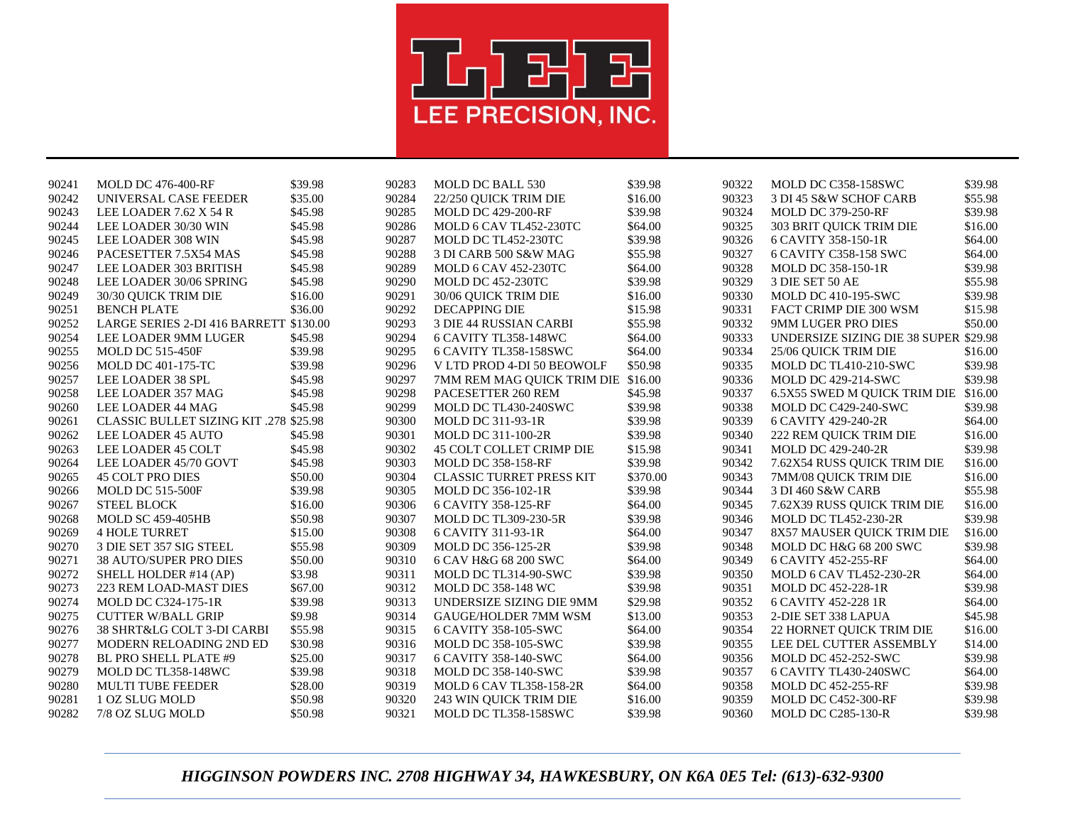

| 90241 | <b>MOLD DC 476-400-RF</b>              | \$39.98 | 90283 | MOLD DC BALL 530                   | \$39.98  | 90322 | MOLD DC C358-158SWC                   | \$39.98 |
|-------|----------------------------------------|---------|-------|------------------------------------|----------|-------|---------------------------------------|---------|
| 90242 | UNIVERSAL CASE FEEDER                  | \$35.00 | 90284 | 22/250 QUICK TRIM DIE              | \$16.00  | 90323 | 3 DI 45 S&W SCHOF CARB                | \$55.98 |
| 90243 | LEE LOADER 7.62 X 54 R                 | \$45.98 | 90285 | <b>MOLD DC 429-200-RF</b>          | \$39.98  | 90324 | <b>MOLD DC 379-250-RF</b>             | \$39.98 |
| 90244 | LEE LOADER 30/30 WIN                   | \$45.98 | 90286 | MOLD 6 CAV TL452-230TC             | \$64.00  | 90325 | 303 BRIT QUICK TRIM DIE               | \$16.00 |
| 90245 | LEE LOADER 308 WIN                     | \$45.98 | 90287 | MOLD DC TL452-230TC                | \$39.98  | 90326 | 6 CAVITY 358-150-1R                   | \$64.00 |
| 90246 | PACESETTER 7.5X54 MAS                  | \$45.98 | 90288 | 3 DI CARB 500 S&W MAG              | \$55.98  | 90327 | 6 CAVITY C358-158 SWC                 | \$64.00 |
| 90247 | LEE LOADER 303 BRITISH                 | \$45.98 | 90289 | <b>MOLD 6 CAV 452-230TC</b>        | \$64.00  | 90328 | <b>MOLD DC 358-150-1R</b>             | \$39.98 |
| 90248 | LEE LOADER 30/06 SPRING                | \$45.98 | 90290 | <b>MOLD DC 452-230TC</b>           | \$39.98  | 90329 | 3 DIE SET 50 AE                       | \$55.98 |
| 90249 | 30/30 QUICK TRIM DIE                   | \$16.00 | 90291 | 30/06 QUICK TRIM DIE               | \$16.00  | 90330 | <b>MOLD DC 410-195-SWC</b>            | \$39.98 |
| 90251 | <b>BENCH PLATE</b>                     | \$36.00 | 90292 | <b>DECAPPING DIE</b>               | \$15.98  | 90331 | FACT CRIMP DIE 300 WSM                | \$15.98 |
| 90252 | LARGE SERIES 2-DI 416 BARRETT \$130.00 |         | 90293 | <b>3 DIE 44 RUSSIAN CARBI</b>      | \$55.98  | 90332 | 9MM LUGER PRO DIES                    | \$50.00 |
| 90254 | LEE LOADER 9MM LUGER                   | \$45.98 | 90294 | 6 CAVITY TL358-148WC               | \$64.00  | 90333 | UNDERSIZE SIZING DIE 38 SUPER \$29.98 |         |
| 90255 | <b>MOLD DC 515-450F</b>                | \$39.98 | 90295 | 6 CAVITY TL358-158SWC              | \$64.00  | 90334 | 25/06 OUICK TRIM DIE                  | \$16.00 |
| 90256 | <b>MOLD DC 401-175-TC</b>              | \$39.98 | 90296 | V LTD PROD 4-DI 50 BEOWOLF         | \$50.98  | 90335 | MOLD DC TL410-210-SWC                 | \$39.98 |
| 90257 | LEE LOADER 38 SPL                      | \$45.98 | 90297 | 7MM REM MAG QUICK TRIM DIE \$16.00 |          | 90336 | MOLD DC 429-214-SWC                   | \$39.98 |
| 90258 | LEE LOADER 357 MAG                     | \$45.98 | 90298 | PACESETTER 260 REM                 | \$45.98  | 90337 | 6.5X55 SWED M QUICK TRIM DIE \$16.00  |         |
| 90260 | LEE LOADER 44 MAG                      | \$45.98 | 90299 | MOLD DC TL430-240SWC               | \$39.98  | 90338 | MOLD DC C429-240-SWC                  | \$39.98 |
| 90261 | CLASSIC BULLET SIZING KIT .278 \$25.98 |         | 90300 | MOLD DC 311-93-1R                  | \$39.98  | 90339 | 6 CAVITY 429-240-2R                   | \$64.00 |
| 90262 | LEE LOADER 45 AUTO                     | \$45.98 | 90301 | MOLD DC 311-100-2R                 | \$39.98  | 90340 | 222 REM QUICK TRIM DIE                | \$16.00 |
| 90263 | LEE LOADER 45 COLT                     | \$45.98 | 90302 | 45 COLT COLLET CRIMP DIE           | \$15.98  | 90341 | <b>MOLD DC 429-240-2R</b>             | \$39.98 |
| 90264 | LEE LOADER 45/70 GOVT                  | \$45.98 | 90303 | <b>MOLD DC 358-158-RF</b>          | \$39.98  | 90342 | 7.62X54 RUSS QUICK TRIM DIE           | \$16.00 |
| 90265 | <b>45 COLT PRO DIES</b>                | \$50.00 | 90304 | <b>CLASSIC TURRET PRESS KIT</b>    | \$370.00 | 90343 | 7MM/08 QUICK TRIM DIE                 | \$16.00 |
| 90266 | <b>MOLD DC 515-500F</b>                | \$39.98 | 90305 | MOLD DC 356-102-1R                 | \$39.98  | 90344 | 3 DI 460 S&W CARB                     | \$55.98 |
| 90267 | <b>STEEL BLOCK</b>                     | \$16.00 | 90306 | 6 CAVITY 358-125-RF                | \$64.00  | 90345 | 7.62X39 RUSS QUICK TRIM DIE           | \$16.00 |
| 90268 | <b>MOLD SC 459-405HB</b>               | \$50.98 | 90307 | <b>MOLD DC TL309-230-5R</b>        | \$39.98  | 90346 | <b>MOLD DC TL452-230-2R</b>           | \$39.98 |
| 90269 | <b>4 HOLE TURRET</b>                   | \$15.00 | 90308 | 6 CAVITY 311-93-1R                 | \$64.00  | 90347 | 8X57 MAUSER QUICK TRIM DIE            | \$16.00 |
| 90270 | 3 DIE SET 357 SIG STEEL                | \$55.98 | 90309 | <b>MOLD DC 356-125-2R</b>          | \$39.98  | 90348 | MOLD DC H&G 68 200 SWC                | \$39.98 |
| 90271 | <b>38 AUTO/SUPER PRO DIES</b>          | \$50.00 | 90310 | 6 CAV H&G 68 200 SWC               | \$64.00  | 90349 | 6 CAVITY 452-255-RF                   | \$64.00 |
| 90272 | SHELL HOLDER #14 (AP)                  | \$3.98  | 90311 | MOLD DC TL314-90-SWC               | \$39.98  | 90350 | <b>MOLD 6 CAV TL452-230-2R</b>        | \$64.00 |
| 90273 | 223 REM LOAD-MAST DIES                 | \$67.00 | 90312 | <b>MOLD DC 358-148 WC</b>          | \$39.98  | 90351 | <b>MOLD DC 452-228-1R</b>             | \$39.98 |
| 90274 | <b>MOLD DC C324-175-1R</b>             | \$39.98 | 90313 | UNDERSIZE SIZING DIE 9MM           | \$29.98  | 90352 | 6 CAVITY 452-228 1R                   | \$64.00 |
| 90275 | <b>CUTTER W/BALL GRIP</b>              | \$9.98  | 90314 | <b>GAUGE/HOLDER 7MM WSM</b>        | \$13.00  | 90353 | 2-DIE SET 338 LAPUA                   | \$45.98 |
| 90276 | 38 SHRT&LG COLT 3-DI CARBI             | \$55.98 | 90315 | 6 CAVITY 358-105-SWC               | \$64.00  | 90354 | <b>22 HORNET QUICK TRIM DIE</b>       | \$16.00 |
| 90277 | MODERN RELOADING 2ND ED                | \$30.98 | 90316 | <b>MOLD DC 358-105-SWC</b>         | \$39.98  | 90355 | LEE DEL CUTTER ASSEMBLY               | \$14.00 |
| 90278 | BL PRO SHELL PLATE #9                  | \$25.00 | 90317 | 6 CAVITY 358-140-SWC               | \$64.00  | 90356 | <b>MOLD DC 452-252-SWC</b>            | \$39.98 |
| 90279 | MOLD DC TL358-148WC                    | \$39.98 | 90318 | <b>MOLD DC 358-140-SWC</b>         | \$39.98  | 90357 | 6 CAVITY TL430-240SWC                 | \$64.00 |
| 90280 | <b>MULTI TUBE FEEDER</b>               | \$28.00 | 90319 | <b>MOLD 6 CAV TL358-158-2R</b>     | \$64.00  | 90358 | <b>MOLD DC 452-255-RF</b>             | \$39.98 |
| 90281 | 1 OZ SLUG MOLD                         | \$50.98 | 90320 | 243 WIN QUICK TRIM DIE             | \$16.00  | 90359 | <b>MOLD DC C452-300-RF</b>            | \$39.98 |
| 90282 | 7/8 OZ SLUG MOLD                       | \$50.98 | 90321 | MOLD DC TL358-158SWC               | \$39.98  | 90360 | <b>MOLD DC C285-130-R</b>             | \$39.98 |
|       |                                        |         |       |                                    |          |       |                                       |         |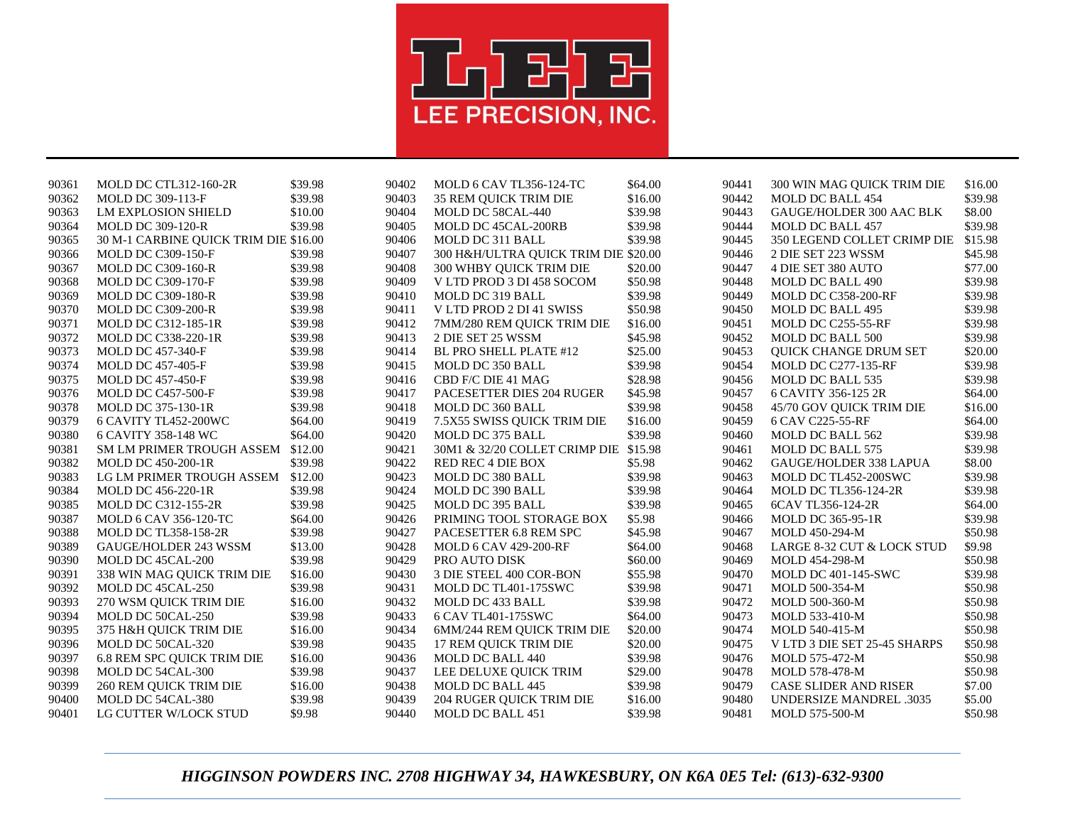

| 90361 | MOLD DC CTL312-160-2R                 | \$39.98 | 90402 | MOLD 6 CAV TL356-124-TC               | \$64.00 | 90441 | <b>300 WIN MAG OUICK TRIM DIE</b> | \$16.00 |
|-------|---------------------------------------|---------|-------|---------------------------------------|---------|-------|-----------------------------------|---------|
| 90362 | <b>MOLD DC 309-113-F</b>              | \$39.98 | 90403 | <b>35 REM QUICK TRIM DIE</b>          | \$16.00 | 90442 | MOLD DC BALL 454                  | \$39.98 |
| 90363 | <b>LM EXPLOSION SHIELD</b>            | \$10.00 | 90404 | MOLD DC 58CAL-440                     | \$39.98 | 90443 | <b>GAUGE/HOLDER 300 AAC BLK</b>   | \$8.00  |
| 90364 | <b>MOLD DC 309-120-R</b>              | \$39.98 | 90405 | MOLD DC 45CAL-200RB                   | \$39.98 | 90444 | MOLD DC BALL 457                  | \$39.98 |
| 90365 | 30 M-1 CARBINE QUICK TRIM DIE \$16.00 |         | 90406 | MOLD DC 311 BALL                      | \$39.98 | 90445 | 350 LEGEND COLLET CRIMP DIE       | \$15.98 |
| 90366 | <b>MOLD DC C309-150-F</b>             | \$39.98 | 90407 | 300 H&H/ULTRA QUICK TRIM DIE \$20.00  |         | 90446 | 2 DIE SET 223 WSSM                | \$45.98 |
| 90367 | <b>MOLD DC C309-160-R</b>             | \$39.98 | 90408 | 300 WHBY OUICK TRIM DIE               | \$20.00 | 90447 | 4 DIE SET 380 AUTO                | \$77.00 |
| 90368 | <b>MOLD DC C309-170-F</b>             | \$39.98 | 90409 | V LTD PROD 3 DI 458 SOCOM             | \$50.98 | 90448 | MOLD DC BALL 490                  | \$39.98 |
| 90369 | <b>MOLD DC C309-180-R</b>             | \$39.98 | 90410 | MOLD DC 319 BALL                      | \$39.98 | 90449 | <b>MOLD DC C358-200-RF</b>        | \$39.98 |
| 90370 | <b>MOLD DC C309-200-R</b>             | \$39.98 | 90411 | V LTD PROD 2 DI 41 SWISS              | \$50.98 | 90450 | MOLD DC BALL 495                  | \$39.98 |
| 90371 | <b>MOLD DC C312-185-1R</b>            | \$39.98 | 90412 | 7MM/280 REM QUICK TRIM DIE            | \$16.00 | 90451 | MOLD DC C255-55-RF                | \$39.98 |
| 90372 | <b>MOLD DC C338-220-1R</b>            | \$39.98 | 90413 | 2 DIE SET 25 WSSM                     | \$45.98 | 90452 | MOLD DC BALL 500                  | \$39.98 |
| 90373 | <b>MOLD DC 457-340-F</b>              | \$39.98 | 90414 | BL PRO SHELL PLATE #12                | \$25.00 | 90453 | QUICK CHANGE DRUM SET             | \$20.00 |
| 90374 | <b>MOLD DC 457-405-F</b>              | \$39.98 | 90415 | MOLD DC 350 BALL                      | \$39.98 | 90454 | <b>MOLD DC C277-135-RF</b>        | \$39.98 |
| 90375 | <b>MOLD DC 457-450-F</b>              | \$39.98 | 90416 | CBD F/C DIE 41 MAG                    | \$28.98 | 90456 | MOLD DC BALL 535                  | \$39.98 |
| 90376 | <b>MOLD DC C457-500-F</b>             | \$39.98 | 90417 | <b>PACESETTER DIES 204 RUGER</b>      | \$45.98 | 90457 | 6 CAVITY 356-125 2R               | \$64.00 |
| 90378 | <b>MOLD DC 375-130-1R</b>             | \$39.98 | 90418 | MOLD DC 360 BALL                      | \$39.98 | 90458 | 45/70 GOV OUICK TRIM DIE          | \$16.00 |
| 90379 | 6 CAVITY TL452-200WC                  | \$64.00 | 90419 | 7.5X55 SWISS QUICK TRIM DIE           | \$16.00 | 90459 | 6 CAV C225-55-RF                  | \$64.00 |
| 90380 | 6 CAVITY 358-148 WC                   | \$64.00 | 90420 | MOLD DC 375 BALL                      | \$39.98 | 90460 | MOLD DC BALL 562                  | \$39.98 |
| 90381 | SM LM PRIMER TROUGH ASSEM             | \$12.00 | 90421 | 30M1 & 32/20 COLLET CRIMP DIE \$15.98 |         | 90461 | MOLD DC BALL 575                  | \$39.98 |
| 90382 | <b>MOLD DC 450-200-1R</b>             | \$39.98 | 90422 | <b>RED REC 4 DIE BOX</b>              | \$5.98  | 90462 | <b>GAUGE/HOLDER 338 LAPUA</b>     | \$8.00  |
| 90383 | LG LM PRIMER TROUGH ASSEM             | \$12.00 | 90423 | MOLD DC 380 BALL                      | \$39.98 | 90463 | MOLD DC TL452-200SWC              | \$39.98 |
| 90384 | <b>MOLD DC 456-220-1R</b>             | \$39.98 | 90424 | MOLD DC 390 BALL                      | \$39.98 | 90464 | <b>MOLD DC TL356-124-2R</b>       | \$39.98 |
| 90385 | <b>MOLD DC C312-155-2R</b>            | \$39.98 | 90425 | MOLD DC 395 BALL                      | \$39.98 | 90465 | 6CAV TL356-124-2R                 | \$64.00 |
| 90387 | <b>MOLD 6 CAV 356-120-TC</b>          | \$64.00 | 90426 | PRIMING TOOL STORAGE BOX              | \$5.98  | 90466 | <b>MOLD DC 365-95-1R</b>          | \$39.98 |
| 90388 | <b>MOLD DC TL358-158-2R</b>           | \$39.98 | 90427 | PACESETTER 6.8 REM SPC                | \$45.98 | 90467 | <b>MOLD 450-294-M</b>             | \$50.98 |
| 90389 | GAUGE/HOLDER 243 WSSM                 | \$13.00 | 90428 | <b>MOLD 6 CAV 429-200-RF</b>          | \$64.00 | 90468 | LARGE 8-32 CUT & LOCK STUD        | \$9.98  |
| 90390 | MOLD DC 45CAL-200                     | \$39.98 | 90429 | PRO AUTO DISK                         | \$60.00 | 90469 | <b>MOLD 454-298-M</b>             | \$50.98 |
| 90391 | 338 WIN MAG QUICK TRIM DIE            | \$16.00 | 90430 | 3 DIE STEEL 400 COR-BON               | \$55.98 | 90470 | <b>MOLD DC 401-145-SWC</b>        | \$39.98 |
| 90392 | MOLD DC 45CAL-250                     | \$39.98 | 90431 | MOLD DC TL401-175SWC                  | \$39.98 | 90471 | <b>MOLD 500-354-M</b>             | \$50.98 |
| 90393 | 270 WSM QUICK TRIM DIE                | \$16.00 | 90432 | MOLD DC 433 BALL                      | \$39.98 | 90472 | <b>MOLD 500-360-M</b>             | \$50.98 |
| 90394 | MOLD DC 50CAL-250                     | \$39.98 | 90433 | 6 CAV TL401-175SWC                    | \$64.00 | 90473 | MOLD 533-410-M                    | \$50.98 |
| 90395 | 375 H&H QUICK TRIM DIE                | \$16.00 | 90434 | 6MM/244 REM QUICK TRIM DIE            | \$20.00 | 90474 | MOLD 540-415-M                    | \$50.98 |
| 90396 | MOLD DC 50CAL-320                     | \$39.98 | 90435 | 17 REM QUICK TRIM DIE                 | \$20.00 | 90475 | V LTD 3 DIE SET 25-45 SHARPS      | \$50.98 |
| 90397 | 6.8 REM SPC QUICK TRIM DIE            | \$16.00 | 90436 | MOLD DC BALL 440                      | \$39.98 | 90476 | MOLD 575-472-M                    | \$50.98 |
| 90398 | MOLD DC 54CAL-300                     | \$39.98 | 90437 | LEE DELUXE QUICK TRIM                 | \$29.00 | 90478 | MOLD 578-478-M                    | \$50.98 |
| 90399 | <b>260 REM OUICK TRIM DIE</b>         | \$16.00 | 90438 | <b>MOLD DC BALL 445</b>               | \$39.98 | 90479 | <b>CASE SLIDER AND RISER</b>      | \$7.00  |
| 90400 | MOLD DC 54CAL-380                     | \$39.98 | 90439 | <b>204 RUGER QUICK TRIM DIE</b>       | \$16.00 | 90480 | <b>UNDERSIZE MANDREL .3035</b>    | \$5.00  |
| 90401 | LG CUTTER W/LOCK STUD                 | \$9.98  | 90440 | MOLD DC BALL 451                      | \$39.98 | 90481 | MOLD 575-500-M                    | \$50.98 |
|       |                                       |         |       |                                       |         |       |                                   |         |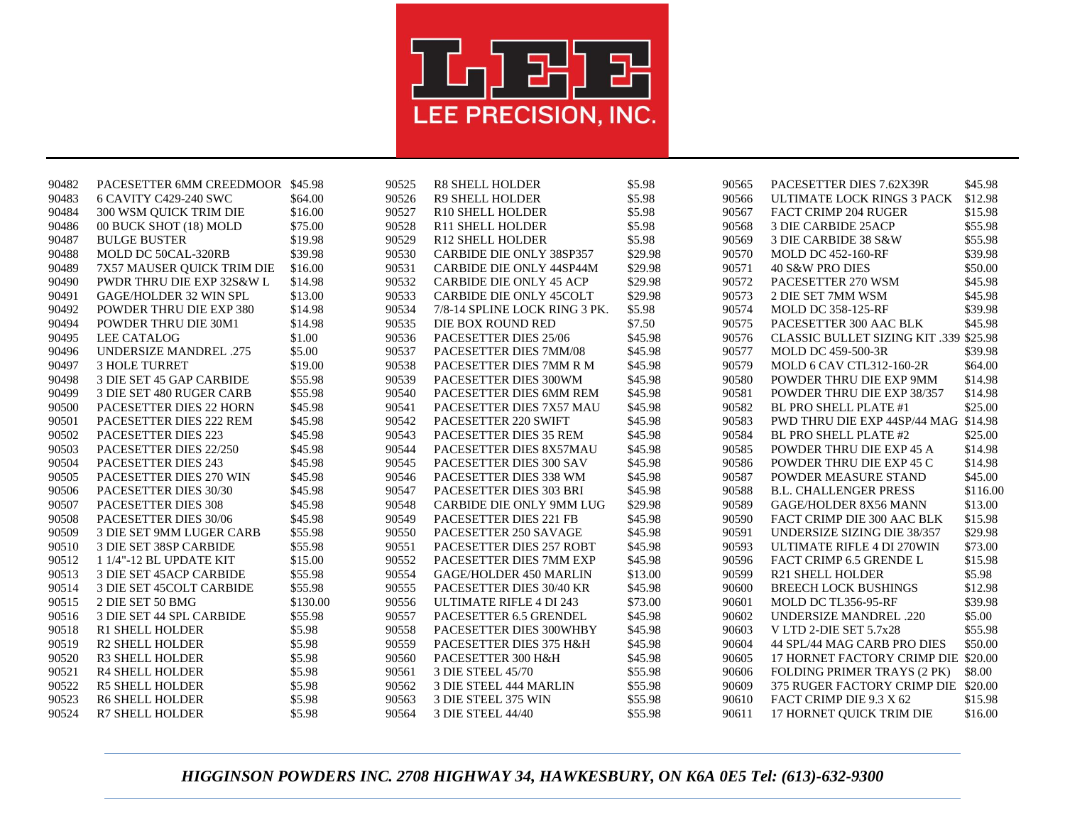

| 90482 | PACESETTER 6MM CREEDMOOR \$45.98 |          | 90525 | <b>R8 SHELL HOLDER</b>          | \$5.98  | 90565 | PACESETTER DIES 7.62X39R                      | \$45.98  |
|-------|----------------------------------|----------|-------|---------------------------------|---------|-------|-----------------------------------------------|----------|
| 90483 | 6 CAVITY C429-240 SWC            | \$64.00  | 90526 | <b>R9 SHELL HOLDER</b>          | \$5.98  | 90566 | ULTIMATE LOCK RINGS 3 PACK                    | \$12.98  |
| 90484 | 300 WSM QUICK TRIM DIE           | \$16.00  | 90527 | R10 SHELL HOLDER                | \$5.98  | 90567 | <b>FACT CRIMP 204 RUGER</b>                   | \$15.98  |
| 90486 | 00 BUCK SHOT (18) MOLD           | \$75.00  | 90528 | <b>R11 SHELL HOLDER</b>         | \$5.98  | 90568 | 3 DIE CARBIDE 25ACP                           | \$55.98  |
| 90487 | <b>BULGE BUSTER</b>              | \$19.98  | 90529 | <b>R12 SHELL HOLDER</b>         | \$5.98  | 90569 | 3 DIE CARBIDE 38 S&W                          | \$55.98  |
| 90488 | MOLD DC 50CAL-320RB              | \$39.98  | 90530 | CARBIDE DIE ONLY 38SP357        | \$29.98 | 90570 | <b>MOLD DC 452-160-RF</b>                     | \$39.98  |
| 90489 | 7X57 MAUSER QUICK TRIM DIE       | \$16.00  | 90531 | <b>CARBIDE DIE ONLY 44SP44M</b> | \$29.98 | 90571 | 40 S&W PRO DIES                               | \$50.00  |
| 90490 | PWDR THRU DIE EXP 32S&W L        | \$14.98  | 90532 | <b>CARBIDE DIE ONLY 45 ACP</b>  | \$29.98 | 90572 | PACESETTER 270 WSM                            | \$45.98  |
| 90491 | <b>GAGE/HOLDER 32 WIN SPL</b>    | \$13.00  | 90533 | CARBIDE DIE ONLY 45COLT         | \$29.98 | 90573 | 2 DIE SET 7MM WSM                             | \$45.98  |
| 90492 | <b>POWDER THRU DIE EXP 380</b>   | \$14.98  | 90534 | 7/8-14 SPLINE LOCK RING 3 PK.   | \$5.98  | 90574 | <b>MOLD DC 358-125-RF</b>                     | \$39.98  |
| 90494 | POWDER THRU DIE 30M1             | \$14.98  | 90535 | DIE BOX ROUND RED               | \$7.50  | 90575 | PACESETTER 300 AAC BLK                        | \$45.98  |
| 90495 | <b>LEE CATALOG</b>               | \$1.00   | 90536 | PACESETTER DIES 25/06           | \$45.98 | 90576 | <b>CLASSIC BULLET SIZING KIT .339 \$25.98</b> |          |
| 90496 | <b>UNDERSIZE MANDREL .275</b>    | \$5.00   | 90537 | PACESETTER DIES 7MM/08          | \$45.98 | 90577 | <b>MOLD DC 459-500-3R</b>                     | \$39.98  |
| 90497 | <b>3 HOLE TURRET</b>             | \$19.00  | 90538 | PACESETTER DIES 7MM R M         | \$45.98 | 90579 | MOLD 6 CAV CTL312-160-2R                      | \$64.00  |
| 90498 | 3 DIE SET 45 GAP CARBIDE         | \$55.98  | 90539 | PACESETTER DIES 300WM           | \$45.98 | 90580 | POWDER THRU DIE EXP 9MM                       | \$14.98  |
| 90499 | 3 DIE SET 480 RUGER CARB         | \$55.98  | 90540 | PACESETTER DIES 6MM REM         | \$45.98 | 90581 | POWDER THRU DIE EXP 38/357                    | \$14.98  |
| 90500 | <b>PACESETTER DIES 22 HORN</b>   | \$45.98  | 90541 | PACESETTER DIES 7X57 MAU        | \$45.98 | 90582 | <b>BL PRO SHELL PLATE #1</b>                  | \$25.00  |
| 90501 | PACESETTER DIES 222 REM          | \$45.98  | 90542 | PACESETTER 220 SWIFT            | \$45.98 | 90583 | PWD THRU DIE EXP 44SP/44 MAG \$14.98          |          |
| 90502 | PACESETTER DIES 223              | \$45.98  | 90543 | PACESETTER DIES 35 REM          | \$45.98 | 90584 | <b>BL PRO SHELL PLATE #2</b>                  | \$25.00  |
| 90503 | PACESETTER DIES 22/250           | \$45.98  | 90544 | PACESETTER DIES 8X57MAU         | \$45.98 | 90585 | POWDER THRU DIE EXP 45 A                      | \$14.98  |
| 90504 | <b>PACESETTER DIES 243</b>       | \$45.98  | 90545 | PACESETTER DIES 300 SAV         | \$45.98 | 90586 | POWDER THRU DIE EXP 45 C                      | \$14.98  |
| 90505 | PACESETTER DIES 270 WIN          | \$45.98  | 90546 | PACESETTER DIES 338 WM          | \$45.98 | 90587 | POWDER MEASURE STAND                          | \$45.00  |
| 90506 | PACESETTER DIES 30/30            | \$45.98  | 90547 | PACESETTER DIES 303 BRI         | \$45.98 | 90588 | <b>B.L. CHALLENGER PRESS</b>                  | \$116.00 |
| 90507 | PACESETTER DIES 308              | \$45.98  | 90548 | CARBIDE DIE ONLY 9MM LUG        | \$29.98 | 90589 | <b>GAGE/HOLDER 8X56 MANN</b>                  | \$13.00  |
| 90508 | PACESETTER DIES 30/06            | \$45.98  | 90549 | PACESETTER DIES 221 FB          | \$45.98 | 90590 | FACT CRIMP DIE 300 AAC BLK                    | \$15.98  |
| 90509 | <b>3 DIE SET 9MM LUGER CARB</b>  | \$55.98  | 90550 | PACESETTER 250 SAVAGE           | \$45.98 | 90591 | UNDERSIZE SIZING DIE 38/357                   | \$29.98  |
| 90510 | 3 DIE SET 38SP CARBIDE           | \$55.98  | 90551 | PACESETTER DIES 257 ROBT        | \$45.98 | 90593 | ULTIMATE RIFLE 4 DI 270WIN                    | \$73.00  |
| 90512 | 1 1/4"-12 BL UPDATE KIT          | \$15.00  | 90552 | PACESETTER DIES 7MM EXP         | \$45.98 | 90596 | FACT CRIMP 6.5 GRENDE L                       | \$15.98  |
| 90513 | <b>3 DIE SET 45 ACP CARBIDE</b>  | \$55.98  | 90554 | <b>GAGE/HOLDER 450 MARLIN</b>   | \$13.00 | 90599 | <b>R21 SHELL HOLDER</b>                       | \$5.98   |
| 90514 | <b>3 DIE SET 45COLT CARBIDE</b>  | \$55.98  | 90555 | PACESETTER DIES 30/40 KR        | \$45.98 | 90600 | <b>BREECH LOCK BUSHINGS</b>                   | \$12.98  |
| 90515 | 2 DIE SET 50 BMG                 | \$130.00 | 90556 | ULTIMATE RIFLE 4 DI 243         | \$73.00 | 90601 | MOLD DC TL356-95-RF                           | \$39.98  |
| 90516 | <b>3 DIE SET 44 SPL CARBIDE</b>  | \$55.98  | 90557 | PACESETTER 6.5 GRENDEL          | \$45.98 | 90602 | <b>UNDERSIZE MANDREL .220</b>                 | \$5.00   |
| 90518 | <b>R1 SHELL HOLDER</b>           | \$5.98   | 90558 | PACESETTER DIES 300WHBY         | \$45.98 | 90603 | V LTD 2-DIE SET 5.7x28                        | \$55.98  |
| 90519 | <b>R2 SHELL HOLDER</b>           | \$5.98   | 90559 | PACESETTER DIES 375 H&H         | \$45.98 | 90604 | 44 SPL/44 MAG CARB PRO DIES                   | \$50.00  |
| 90520 | <b>R3 SHELL HOLDER</b>           | \$5.98   | 90560 | PACESETTER 300 H&H              | \$45.98 | 90605 | 17 HORNET FACTORY CRIMP DIE \$20.00           |          |
| 90521 | <b>R4 SHELL HOLDER</b>           | \$5.98   | 90561 | 3 DIE STEEL 45/70               | \$55.98 | 90606 | <b>FOLDING PRIMER TRAYS (2 PK)</b>            | \$8.00   |
| 90522 | <b>R5 SHELL HOLDER</b>           | \$5.98   | 90562 | 3 DIE STEEL 444 MARLIN          | \$55.98 | 90609 | 375 RUGER FACTORY CRIMP DIE \$20.00           |          |
| 90523 | <b>R6 SHELL HOLDER</b>           | \$5.98   | 90563 | 3 DIE STEEL 375 WIN             | \$55.98 | 90610 | FACT CRIMP DIE 9.3 X 62                       | \$15.98  |
| 90524 | <b>R7 SHELL HOLDER</b>           | \$5.98   | 90564 | 3 DIE STEEL 44/40               | \$55.98 | 90611 | 17 HORNET OUICK TRIM DIE                      | \$16.00  |
|       |                                  |          |       |                                 |         |       |                                               |          |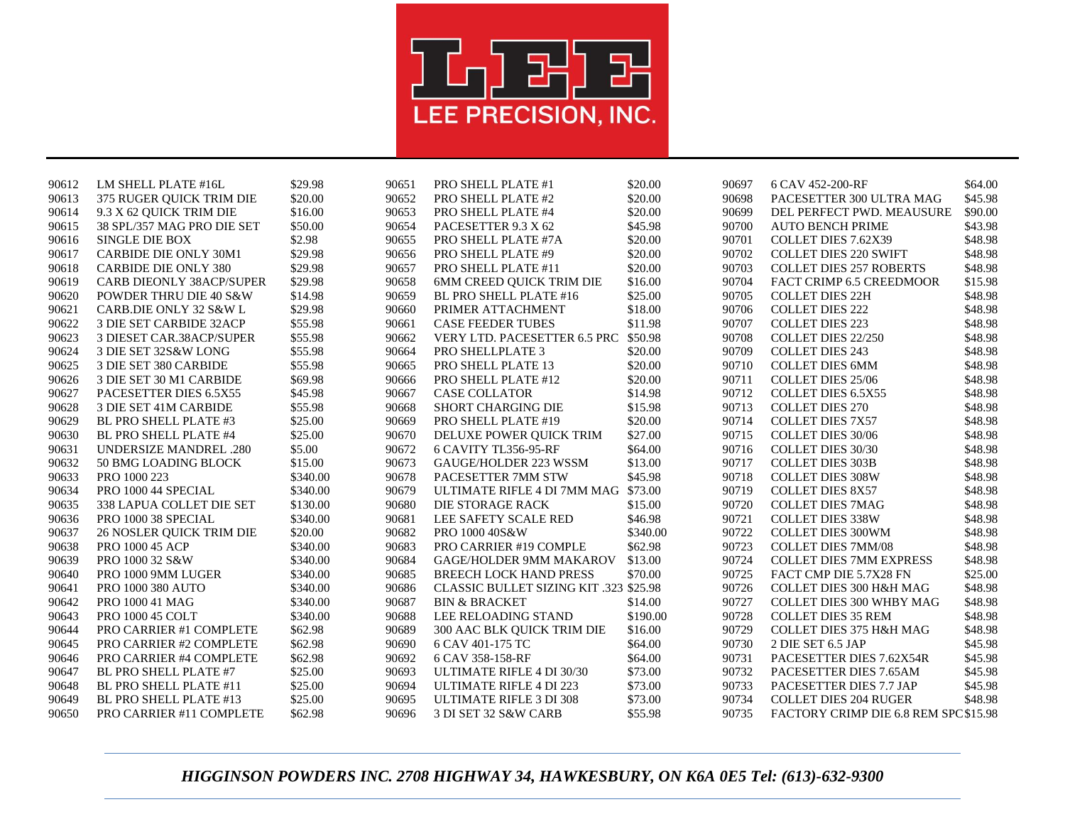

| 90612 | LM SHELL PLATE #16L             | \$29.98  | 90651 | PRO SHELL PLATE #1                     | \$20.00  | 90697 | 6 CAV 452-200-RF                      | \$64.00 |
|-------|---------------------------------|----------|-------|----------------------------------------|----------|-------|---------------------------------------|---------|
| 90613 | 375 RUGER QUICK TRIM DIE        | \$20.00  | 90652 | PRO SHELL PLATE #2                     | \$20.00  | 90698 | PACESETTER 300 ULTRA MAG              | \$45.98 |
| 90614 | 9.3 X 62 QUICK TRIM DIE         | \$16.00  | 90653 | PRO SHELL PLATE #4                     | \$20.00  | 90699 | DEL PERFECT PWD. MEAUSURE             | \$90.00 |
| 90615 | 38 SPL/357 MAG PRO DIE SET      | \$50.00  | 90654 | PACESETTER 9.3 X 62                    | \$45.98  | 90700 | <b>AUTO BENCH PRIME</b>               | \$43.98 |
| 90616 | <b>SINGLE DIE BOX</b>           | \$2.98   | 90655 | PRO SHELL PLATE #7A                    | \$20.00  | 90701 | <b>COLLET DIES 7.62X39</b>            | \$48.98 |
| 90617 | CARBIDE DIE ONLY 30M1           | \$29.98  | 90656 | PRO SHELL PLATE #9                     | \$20.00  | 90702 | <b>COLLET DIES 220 SWIFT</b>          | \$48.98 |
| 90618 | <b>CARBIDE DIE ONLY 380</b>     | \$29.98  | 90657 | PRO SHELL PLATE #11                    | \$20.00  | 90703 | <b>COLLET DIES 257 ROBERTS</b>        | \$48.98 |
| 90619 | <b>CARB DIEONLY 38ACP/SUPER</b> | \$29.98  | 90658 | <b>6MM CREED QUICK TRIM DIE</b>        | \$16.00  | 90704 | FACT CRIMP 6.5 CREEDMOOR              | \$15.98 |
| 90620 | POWDER THRU DIE 40 S&W          | \$14.98  | 90659 | BL PRO SHELL PLATE #16                 | \$25.00  | 90705 | <b>COLLET DIES 22H</b>                | \$48.98 |
| 90621 | CARB.DIE ONLY 32 S&W L          | \$29.98  | 90660 | PRIMER ATTACHMENT                      | \$18.00  | 90706 | <b>COLLET DIES 222</b>                | \$48.98 |
| 90622 | 3 DIE SET CARBIDE 32ACP         | \$55.98  | 90661 | <b>CASE FEEDER TUBES</b>               | \$11.98  | 90707 | <b>COLLET DIES 223</b>                | \$48.98 |
| 90623 | 3 DIESET CAR.38ACP/SUPER        | \$55.98  | 90662 | VERY LTD. PACESETTER 6.5 PRC \$50.98   |          | 90708 | <b>COLLET DIES 22/250</b>             | \$48.98 |
| 90624 | 3 DIE SET 32S&W LONG            | \$55.98  | 90664 | PRO SHELLPLATE 3                       | \$20.00  | 90709 | <b>COLLET DIES 243</b>                | \$48.98 |
| 90625 | 3 DIE SET 380 CARBIDE           | \$55.98  | 90665 | PRO SHELL PLATE 13                     | \$20.00  | 90710 | <b>COLLET DIES 6MM</b>                | \$48.98 |
| 90626 | 3 DIE SET 30 M1 CARBIDE         | \$69.98  | 90666 | PRO SHELL PLATE #12                    | \$20.00  | 90711 | <b>COLLET DIES 25/06</b>              | \$48.98 |
| 90627 | PACESETTER DIES 6.5X55          | \$45.98  | 90667 | <b>CASE COLLATOR</b>                   | \$14.98  | 90712 | <b>COLLET DIES 6.5X55</b>             | \$48.98 |
| 90628 | 3 DIE SET 41M CARBIDE           | \$55.98  | 90668 | <b>SHORT CHARGING DIE</b>              | \$15.98  | 90713 | <b>COLLET DIES 270</b>                | \$48.98 |
| 90629 | BL PRO SHELL PLATE #3           | \$25.00  | 90669 | PRO SHELL PLATE #19                    | \$20.00  | 90714 | <b>COLLET DIES 7X57</b>               | \$48.98 |
| 90630 | <b>BL PRO SHELL PLATE #4</b>    | \$25.00  | 90670 | DELUXE POWER QUICK TRIM                | \$27.00  | 90715 | <b>COLLET DIES 30/06</b>              | \$48.98 |
| 90631 | <b>UNDERSIZE MANDREL .280</b>   | \$5.00   | 90672 | 6 CAVITY TL356-95-RF                   | \$64.00  | 90716 | <b>COLLET DIES 30/30</b>              | \$48.98 |
| 90632 | 50 BMG LOADING BLOCK            | \$15.00  | 90673 | GAUGE/HOLDER 223 WSSM                  | \$13.00  | 90717 | <b>COLLET DIES 303B</b>               | \$48.98 |
| 90633 | PRO 1000 223                    | \$340.00 | 90678 | PACESETTER 7MM STW                     | \$45.98  | 90718 | <b>COLLET DIES 308W</b>               | \$48.98 |
| 90634 | PRO 1000 44 SPECIAL             | \$340.00 | 90679 | ULTIMATE RIFLE 4 DI 7MM MAG \$73.00    |          | 90719 | <b>COLLET DIES 8X57</b>               | \$48.98 |
| 90635 | 338 LAPUA COLLET DIE SET        | \$130.00 | 90680 | DIE STORAGE RACK                       | \$15.00  | 90720 | <b>COLLET DIES 7MAG</b>               | \$48.98 |
| 90636 | PRO 1000 38 SPECIAL             | \$340.00 | 90681 | LEE SAFETY SCALE RED                   | \$46.98  | 90721 | <b>COLLET DIES 338W</b>               | \$48.98 |
| 90637 | <b>26 NOSLER OUICK TRIM DIE</b> | \$20.00  | 90682 | PRO 1000 40S&W                         | \$340.00 | 90722 | <b>COLLET DIES 300WM</b>              | \$48.98 |
| 90638 | <b>PRO 1000 45 ACP</b>          | \$340.00 | 90683 | PRO CARRIER #19 COMPLE                 | \$62.98  | 90723 | <b>COLLET DIES 7MM/08</b>             | \$48.98 |
| 90639 | PRO 1000 32 S&W                 | \$340.00 | 90684 | <b>GAGE/HOLDER 9MM MAKAROV</b>         | \$13.00  | 90724 | <b>COLLET DIES 7MM EXPRESS</b>        | \$48.98 |
| 90640 | PRO 1000 9MM LUGER              | \$340.00 | 90685 | <b>BREECH LOCK HAND PRESS</b>          | \$70.00  | 90725 | FACT CMP DIE 5.7X28 FN                | \$25.00 |
| 90641 | <b>PRO 1000 380 AUTO</b>        | \$340.00 | 90686 | CLASSIC BULLET SIZING KIT .323 \$25.98 |          | 90726 | <b>COLLET DIES 300 H&amp;H MAG</b>    | \$48.98 |
| 90642 | <b>PRO 1000 41 MAG</b>          | \$340.00 | 90687 | <b>BIN &amp; BRACKET</b>               | \$14.00  | 90727 | <b>COLLET DIES 300 WHBY MAG</b>       | \$48.98 |
| 90643 | <b>PRO 1000 45 COLT</b>         | \$340.00 | 90688 | LEE RELOADING STAND                    | \$190.00 | 90728 | <b>COLLET DIES 35 REM</b>             | \$48.98 |
| 90644 | PRO CARRIER #1 COMPLETE         | \$62.98  | 90689 | 300 AAC BLK QUICK TRIM DIE             | \$16.00  | 90729 | <b>COLLET DIES 375 H&amp;H MAG</b>    | \$48.98 |
| 90645 | PRO CARRIER #2 COMPLETE         | \$62.98  | 90690 | 6 CAV 401-175 TC                       | \$64.00  | 90730 | 2 DIE SET 6.5 JAP                     | \$45.98 |
| 90646 | PRO CARRIER #4 COMPLETE         | \$62.98  | 90692 | 6 CAV 358-158-RF                       | \$64.00  | 90731 | PACESETTER DIES 7.62X54R              | \$45.98 |
| 90647 | BL PRO SHELL PLATE #7           | \$25.00  | 90693 | ULTIMATE RIFLE 4 DI 30/30              | \$73.00  | 90732 | PACESETTER DIES 7.65AM                | \$45.98 |
| 90648 | BL PRO SHELL PLATE #11          | \$25.00  | 90694 | ULTIMATE RIFLE 4 DI 223                | \$73.00  | 90733 | PACESETTER DIES 7.7 JAP               | \$45.98 |
| 90649 | BL PRO SHELL PLATE #13          | \$25.00  | 90695 | ULTIMATE RIFLE 3 DI 308                | \$73.00  | 90734 | <b>COLLET DIES 204 RUGER</b>          | \$48.98 |
| 90650 | PRO CARRIER #11 COMPLETE        | \$62.98  | 90696 | 3 DI SET 32 S&W CARB                   | \$55.98  | 90735 | FACTORY CRIMP DIE 6.8 REM SPC \$15.98 |         |
|       |                                 |          |       |                                        |          |       |                                       |         |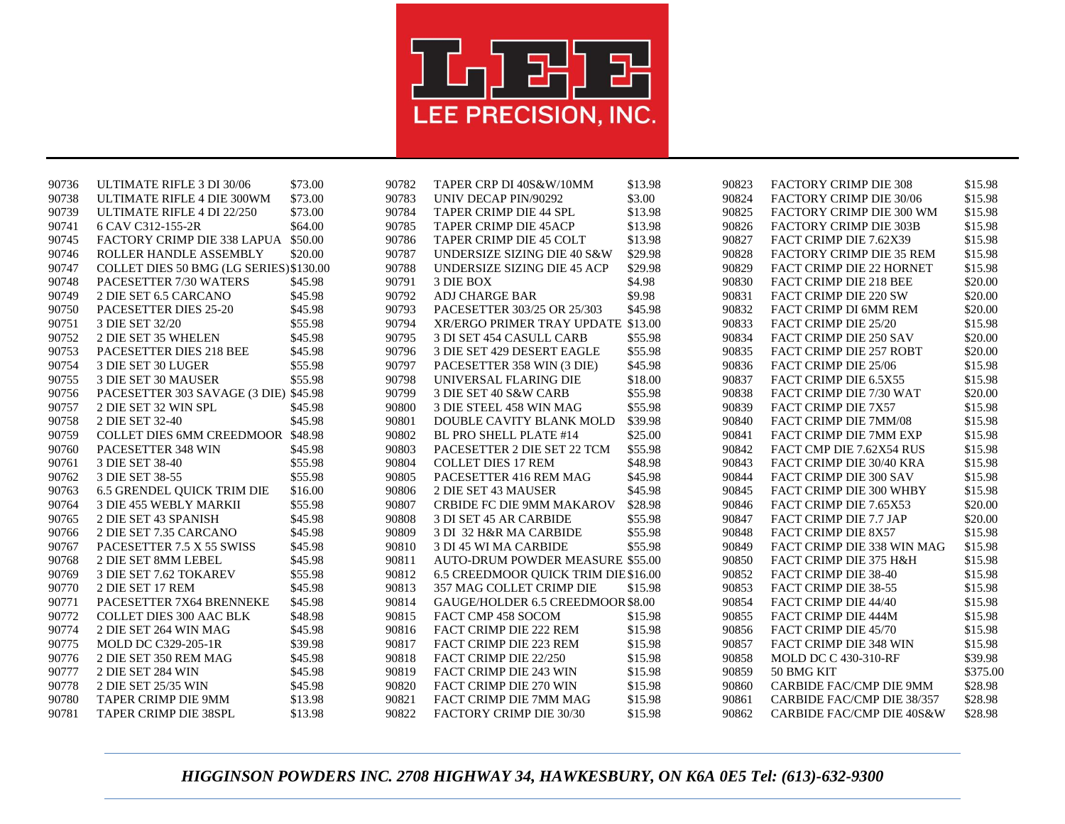

90736 ULTIMATE RIFLE 3 DI 30/06 \$73.00 90738 ULTIMATE RIFLE 4 DIE 300WM \$73.00 90739 ULTIMATE RIFLE 4 DI 22/250 \$73.00 90741 6 CAV C312-155-2R \$64.00 90745 FACTORY CRIMP DIE 338 LAPUA \$50.00 90746 ROLLER HANDLE ASSEMBLY \$20.00 90747 COLLET DIES 50 BMG (LG SERIES)\$130.00 90748 PACESETTER 7/30 WATERS \$45.98 90749 2 DIE SET 6.5 CARCANO \$45.98 90750 PACESETTER DIES 25-20 \$45.98 90751 3 DIE SET 32/20 \$55.98 90752 2 DIE SET 35 WHELEN \$45.98 90753 PACESETTER DIES 218 BEE \$45.98 90754 3 DIE SET 30 LUGER \$55.98 90755 3 DIE SET 30 MAUSER \$55.98 90756 PACESETTER 303 SAVAGE (3 DIE) \$45.98 90757 2 DIE SET 32 WIN SPL \$45.98 90758 2 DIE SET 32-40 \$45.98 90759 COLLET DIES 6MM CREEDMOOR \$48.98 90760 PACESETTER 348 WIN \$45.98 90761 3 DIE SET 38-40 \$55.98 90762 3 DIE SET 38-55 \$55.98 90763 6.5 GRENDEL QUICK TRIM DIE \$16.00 90764 3 DIE 455 WEBLY MARKII \$55.98 90765 2 DIE SET 43 SPANISH \$45.98 90766 2 DIE SET 7.35 CARCANO \$45.98 90767 PACESETTER 7.5 X 55 SWISS \$45.98 90768 2 DIE SET 8MM LEBEL \$45.98 90769 3 DIE SET 7.62 TOKAREV \$55.98 90770 2 DIE SET 17 REM \$45.98 90771 PACESETTER 7X64 BRENNEKE \$45.98 90772 COLLET DIES 300 AAC BLK \$48.98 90774 2 DIE SET 264 WIN MAG \$45.98 90775 MOLD DC C329-205-1R \$39.98 90776 2 DIE SET 350 REM MAG \$45.98 90777 2 DIE SET 284 WIN \$45.98 90778 2 DIE SET 25/35 WIN \$45.98 90780 TAPER CRIMP DIE 9MM \$13.98 90781 TAPER CRIMP DIE 38SPL \$13.98

90782 TAPER CRP DI 40S&W/10MM \$13.98 90783 UNIV DECAP PIN/90292 \$3.00 90784 TAPER CRIMP DIE 44 SPL \$13.98 90785 TAPER CRIMP DIE 45ACP \$13.98 90786 TAPER CRIMP DIE 45 COLT \$13.98 90787 UNDERSIZE SIZING DIE 40 S&W \$29.98 90788 UNDERSIZE SIZING DIE 45 ACP \$29.98 90791 3 DIE BOX \$4.98 90792 ADJ CHARGE BAR \$9.98 90793 PACESETTER 303/25 OR 25/303 \$45.98 90794 XR/ERGO PRIMER TRAY UPDATE \$13.00 90795 3 DI SET 454 CASULL CARB \$55.98 90796 3 DIE SET 429 DESERT EAGLE \$55.98 90797 PACESETTER 358 WIN (3 DIE) \$45.98 90798 UNIVERSAL FLARING DIE \$18.00 90799 3 DIE SET 40 S&W CARB \$55.98 90800 3 DIE STEEL 458 WIN MAG \$55.98 90801 DOUBLE CAVITY BLANK MOLD \$39.98 90802 BL PRO SHELL PLATE #14 \$25.00 90803 PACESETTER 2 DIE SET 22 TCM \$55.98 90804 COLLET DIES 17 REM \$48.98 90805 PACESETTER 416 REM MAG \$45.98 90806 2 DIE SET 43 MAUSER \$45.98 90807 CRBIDE FC DIE 9MM MAKAROV \$28.98 90808 3 DI SET 45 AR CARBIDE \$55.98 90809 3 DI 32 H&R MA CARBIDE \$55.98 90810 3 DI 45 WI MA CARBIDE \$55.98 90811 AUTO-DRUM POWDER MEASURE \$55.00 90812 6.5 CREEDMOOR QUICK TRIM DIE\$16.00 90813 357 MAG COLLET CRIMP DIE \$15.98 90814 GAUGE/HOLDER 6.5 CREEDMOOR\$8.00 90815 FACT CMP 458 SOCOM \$15.98 90816 FACT CRIMP DIE 222 REM \$15.98 90817 FACT CRIMP DIE 223 REM \$15.98 90818 FACT CRIMP DIE 22/250 \$15.98 90819 FACT CRIMP DIE 243 WIN \$15.98 90820 FACT CRIMP DIE 270 WIN \$15.98 90821 FACT CRIMP DIE 7MM MAG \$15.98 90822 FACTORY CRIMP DIE 30/30 \$15.98

90823 FACTORY CRIMP DIE 308 \$15.98 90824 FACTORY CRIMP DIE 30/06 \$15.98 90825 FACTORY CRIMP DIE 300 WM \$15.98 90826 FACTORY CRIMP DIE 303B \$15.98 90827 FACT CRIMP DIE 7.62X39 \$15.98 90828 FACTORY CRIMP DIE 35 REM \$15.98 90829 FACT CRIMP DIE 22 HORNET \$15.98 90830 FACT CRIMP DIE 218 BEE \$20.00 90831 FACT CRIMP DIE 220 SW \$20.00 90832 FACT CRIMP DI 6MM REM \$20.00 90833 FACT CRIMP DIE 25/20 \$15.98 90834 FACT CRIMP DIE 250 SAV \$20.00 90835 FACT CRIMP DIE 257 ROBT \$20.00 90836 FACT CRIMP DIE 25/06 \$15.98 90837 FACT CRIMP DIE 6.5X55 \$15.98 90838 FACT CRIMP DIE 7/30 WAT \$20.00 90839 FACT CRIMP DIE 7X57 \$15.98 90840 FACT CRIMP DIE 7MM/08 \$15.98 90841 FACT CRIMP DIE 7MM EXP \$15.98 90842 FACT CMP DIE 7.62X54 RUS \$15.98 90843 FACT CRIMP DIE 30/40 KRA \$15.98 90844 FACT CRIMP DIE 300 SAV \$15.98 90845 FACT CRIMP DIE 300 WHBY \$15.98 90846 FACT CRIMP DIE 7.65X53 \$20.00 90847 FACT CRIMP DIE 7.7 JAP \$20.00 90848 FACT CRIMP DIE 8X57 \$15.98 90849 FACT CRIMP DIE 338 WIN MAG \$15.98 90850 FACT CRIMP DIE 375 H&H \$15.98 90852 FACT CRIMP DIE 38-40 \$15.98 90853 FACT CRIMP DIE 38-55 \$15.98 90854 FACT CRIMP DIE 44/40 \$15.98 90855 FACT CRIMP DIE 444M \$15.98 90856 FACT CRIMP DIE 45/70 \$15.98 90857 FACT CRIMP DIE 348 WIN \$15.98 90858 MOLD DC C 430-310-RF \$39.98 90859 50 BMG KIT \$375.00 90860 CARBIDE FAC/CMP DIE 9MM \$28.98 90861 CARBIDE FAC/CMP DIE 38/357 \$28.98 90862 CARBIDE FAC/CMP DIE 40S&W \$28.98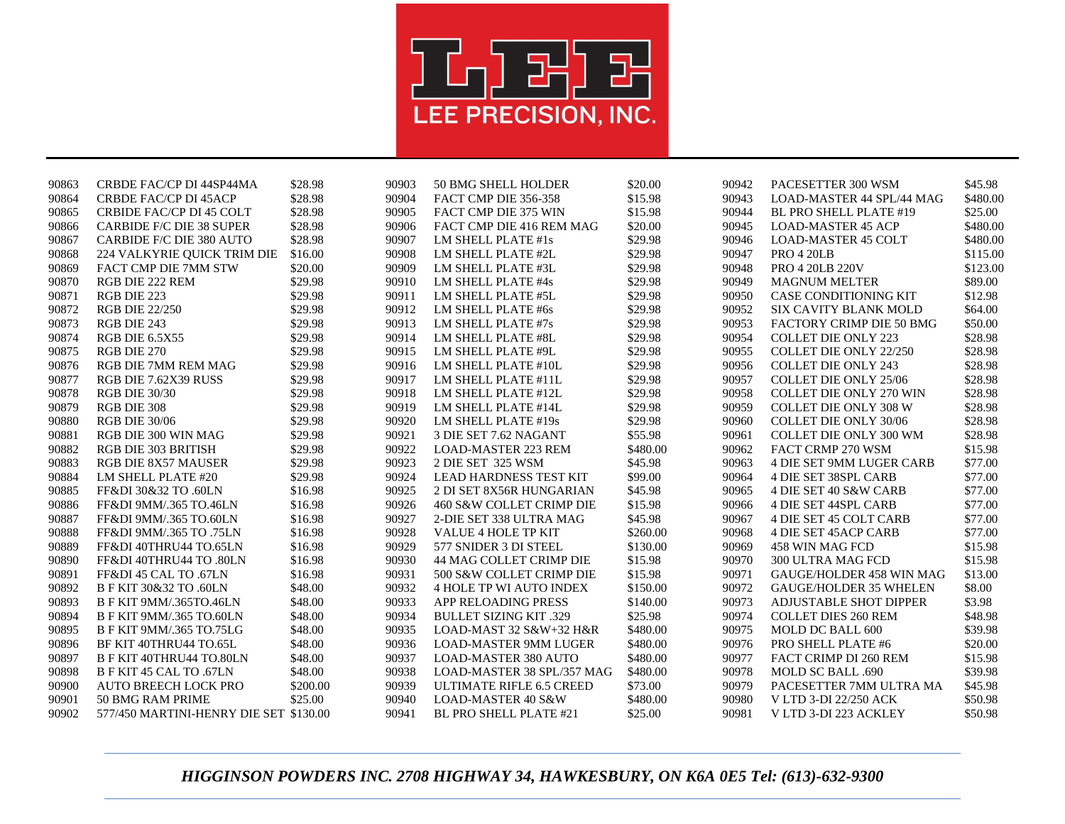

| \$28.98<br>\$15.98<br>90943<br>90864<br><b>CRBDE FAC/CP DI 45ACP</b><br>90904<br>FACT CMP DIE 356-358<br>LOAD-MASTER 44 SPL/44 MAG<br>90865<br><b>CRBIDE FAC/CP DI 45 COLT</b><br>\$28.98<br>90905<br>\$15.98<br>90944<br>FACT CMP DIE 375 WIN<br>BL PRO SHELL PLATE #19<br><b>CARBIDE F/C DIE 38 SUPER</b><br>\$28.98<br>90906<br>\$20.00<br>90945<br>90866<br>FACT CMP DIE 416 REM MAG<br><b>LOAD-MASTER 45 ACP</b> | \$480.00<br>\$25.00<br>\$480.00 |
|-----------------------------------------------------------------------------------------------------------------------------------------------------------------------------------------------------------------------------------------------------------------------------------------------------------------------------------------------------------------------------------------------------------------------|---------------------------------|
|                                                                                                                                                                                                                                                                                                                                                                                                                       |                                 |
|                                                                                                                                                                                                                                                                                                                                                                                                                       |                                 |
|                                                                                                                                                                                                                                                                                                                                                                                                                       |                                 |
| 90907<br>\$29.98<br>90946<br>90867<br>CARBIDE F/C DIE 380 AUTO<br>\$28.98<br>LM SHELL PLATE #1s<br><b>LOAD-MASTER 45 COLT</b>                                                                                                                                                                                                                                                                                         | \$480.00                        |
| 90908<br>\$29.98<br>90947<br><b>PRO 4 20LB</b><br>90868<br>224 VALKYRIE QUICK TRIM DIE<br>\$16.00<br>LM SHELL PLATE #2L                                                                                                                                                                                                                                                                                               | \$115.00                        |
| \$20.00<br>90909<br>\$29.98<br>90948<br><b>PRO 4 20LB 220V</b><br>90869<br>FACT CMP DIE 7MM STW<br>LM SHELL PLATE #3L                                                                                                                                                                                                                                                                                                 | \$123.00                        |
| 90870<br>RGB DIE 222 REM<br>\$29.98<br>90910<br>LM SHELL PLATE #4s<br>\$29.98<br>90949<br><b>MAGNUM MELTER</b>                                                                                                                                                                                                                                                                                                        | \$89.00                         |
| \$29.98<br>90950<br>90871<br>RGB DIE 223<br>90911<br>LM SHELL PLATE #5L<br>\$29.98<br><b>CASE CONDITIONING KIT</b>                                                                                                                                                                                                                                                                                                    | \$12.98                         |
| \$29.98<br>\$29.98<br>90872<br><b>RGB DIE 22/250</b><br>90912<br>90952<br><b>SIX CAVITY BLANK MOLD</b><br>LM SHELL PLATE #6s                                                                                                                                                                                                                                                                                          | \$64.00                         |
| \$29.98<br>90873<br>RGB DIE 243<br>\$29.98<br>90913<br>LM SHELL PLATE #7s<br>90953<br>FACTORY CRIMP DIE 50 BMG                                                                                                                                                                                                                                                                                                        | \$50.00                         |
| \$29.98<br>\$29.98<br>90954<br>90874<br><b>RGB DIE 6.5X55</b><br>90914<br>LM SHELL PLATE #8L<br><b>COLLET DIE ONLY 223</b>                                                                                                                                                                                                                                                                                            | \$28.98                         |
| \$29.98<br>\$29.98<br>90875<br>RGB DIE 270<br>90915<br>90955<br><b>COLLET DIE ONLY 22/250</b><br>LM SHELL PLATE #9L                                                                                                                                                                                                                                                                                                   | \$28.98                         |
| 90876<br>RGB DIE 7MM REM MAG<br>\$29.98<br>90916<br>\$29.98<br>90956<br><b>COLLET DIE ONLY 243</b><br>LM SHELL PLATE #10L                                                                                                                                                                                                                                                                                             | \$28.98                         |
| 90877<br>\$29.98<br>90917<br>\$29.98<br>90957<br>COLLET DIE ONLY 25/06<br>RGB DIE 7.62X39 RUSS<br>LM SHELL PLATE #11L                                                                                                                                                                                                                                                                                                 | \$28.98                         |
| 90878<br>\$29.98<br>90918<br>\$29.98<br>90958<br><b>RGB DIE 30/30</b><br>LM SHELL PLATE #12L<br><b>COLLET DIE ONLY 270 WIN</b>                                                                                                                                                                                                                                                                                        | \$28.98                         |
| \$29.98<br>90919<br>\$29.98<br>90959<br>90879<br>RGB DIE 308<br>LM SHELL PLATE #14L<br><b>COLLET DIE ONLY 308 W</b>                                                                                                                                                                                                                                                                                                   | \$28.98                         |
| 90880<br><b>RGB DIE 30/06</b><br>\$29.98<br>90920<br>LM SHELL PLATE #19s<br>\$29.98<br>90960<br>COLLET DIE ONLY 30/06                                                                                                                                                                                                                                                                                                 | \$28.98                         |
| 90881<br>\$29.98<br>90921<br>3 DIE SET 7.62 NAGANT<br>\$55.98<br>90961<br>RGB DIE 300 WIN MAG<br><b>COLLET DIE ONLY 300 WM</b>                                                                                                                                                                                                                                                                                        | \$28.98                         |
| 90922<br>90882<br>RGB DIE 303 BRITISH<br>\$29.98<br><b>LOAD-MASTER 223 REM</b><br>\$480.00<br>90962<br>FACT CRMP 270 WSM                                                                                                                                                                                                                                                                                              | \$15.98                         |
| 90923<br>90963<br>90883<br><b>RGB DIE 8X57 MAUSER</b><br>\$29.98<br>2 DIE SET 325 WSM<br>\$45.98<br><b>4 DIE SET 9MM LUGER CARB</b>                                                                                                                                                                                                                                                                                   | \$77.00                         |
| 90924<br>90884<br>LM SHELL PLATE #20<br>\$29.98<br><b>LEAD HARDNESS TEST KIT</b><br>\$99.00<br>90964<br>4 DIE SET 38SPL CARB                                                                                                                                                                                                                                                                                          | \$77.00                         |
| 90925<br>\$45.98<br>90885<br>FF&DI 30&32 TO .60LN<br>\$16.98<br>2 DI SET 8X56R HUNGARIAN<br>90965<br>4 DIE SET 40 S&W CARB                                                                                                                                                                                                                                                                                            | \$77.00                         |
| \$16.98<br>90926<br>\$15.98<br>90886<br>FF&DI 9MM/.365 TO.46LN<br>460 S&W COLLET CRIMP DIE<br>90966<br><b>4 DIE SET 44SPL CARB</b>                                                                                                                                                                                                                                                                                    | \$77.00                         |
| \$45.98<br>90887<br>\$16.98<br>90927<br>2-DIE SET 338 ULTRA MAG<br>90967<br><b>4 DIE SET 45 COLT CARB</b><br>FF&DI 9MM/.365 TO.60LN                                                                                                                                                                                                                                                                                   | \$77.00                         |
| 90888<br>FF&DI 9MM/.365 TO .75LN<br>\$16.98<br>90928<br>VALUE 4 HOLE TP KIT<br>\$260.00<br>90968<br><b>4 DIE SET 45 ACP CARB</b>                                                                                                                                                                                                                                                                                      | \$77.00                         |
| 90929<br>90889<br>FF&DI 40THRU44 TO.65LN<br>\$16.98<br>577 SNIDER 3 DI STEEL<br>\$130.00<br>90969<br>458 WIN MAG FCD                                                                                                                                                                                                                                                                                                  | \$15.98                         |
| 90970<br>90890<br>FF&DI 40THRU44 TO .80LN<br>\$16.98<br>90930<br>44 MAG COLLET CRIMP DIE<br>\$15.98<br><b>300 ULTRA MAG FCD</b>                                                                                                                                                                                                                                                                                       | \$15.98                         |
| 90891<br>\$16.98<br>90931<br>500 S&W COLLET CRIMP DIE<br>\$15.98<br>90971<br>GAUGE/HOLDER 458 WIN MAG<br>FF&DI 45 CAL TO .67LN                                                                                                                                                                                                                                                                                        | \$13.00                         |
| 90892<br>\$48.00<br>90932<br>\$150.00<br>90972<br>B F KIT 30&32 TO .60LN<br><b>4 HOLE TP WI AUTO INDEX</b><br><b>GAUGE/HOLDER 35 WHELEN</b>                                                                                                                                                                                                                                                                           | \$8.00                          |
| 90893<br>\$48.00<br>90933<br>APP RELOADING PRESS<br>\$140.00<br>90973<br><b>ADJUSTABLE SHOT DIPPER</b><br><b>B F KIT 9MM/.365TO.46LN</b>                                                                                                                                                                                                                                                                              | \$3.98                          |
| 90894<br>90934<br><b>BULLET SIZING KIT .329</b><br>\$25.98<br>90974<br><b>B F KIT 9MM/.365 TO.60LN</b><br>\$48.00<br><b>COLLET DIES 260 REM</b>                                                                                                                                                                                                                                                                       | \$48.98                         |
| 90935<br>\$480.00<br>90975<br>90895<br>B F KIT 9MM/.365 TO.75LG<br>\$48.00<br>LOAD-MAST 32 S&W+32 H&R<br>MOLD DC BALL 600                                                                                                                                                                                                                                                                                             | \$39.98                         |
| BF KIT 40THRU44 TO.65L<br>90936<br>\$480.00<br>90976<br>90896<br>\$48.00<br><b>LOAD-MASTER 9MM LUGER</b><br>PRO SHELL PLATE #6                                                                                                                                                                                                                                                                                        | \$20.00                         |
| 90937<br>90977<br>90897<br><b>B F KIT 40THRU44 TO.80LN</b><br>\$48.00<br><b>LOAD-MASTER 380 AUTO</b><br>\$480.00<br>FACT CRIMP DI 260 REM                                                                                                                                                                                                                                                                             | \$15.98                         |
| 90938<br>\$480.00<br>90978<br>90898<br>B F KIT 45 CAL TO .67LN<br>\$48.00<br>LOAD-MASTER 38 SPL/357 MAG<br>MOLD SC BALL .690                                                                                                                                                                                                                                                                                          | \$39.98                         |
| <b>AUTO BREECH LOCK PRO</b><br>\$200.00<br>90939<br>\$73.00<br>90979<br>90900<br>ULTIMATE RIFLE 6.5 CREED<br>PACESETTER 7MM ULTRA MA                                                                                                                                                                                                                                                                                  | \$45.98                         |
| 90901<br>50 BMG RAM PRIME<br>\$25.00<br>90940<br><b>LOAD-MASTER 40 S&amp;W</b><br>\$480.00<br>90980<br>V LTD 3-DI 22/250 ACK                                                                                                                                                                                                                                                                                          | \$50.98                         |
| 90902<br>90941<br>\$25.00<br>90981<br>577/450 MARTINI-HENRY DIE SET \$130.00<br>BL PRO SHELL PLATE #21<br>V LTD 3-DI 223 ACKLEY                                                                                                                                                                                                                                                                                       | \$50.98                         |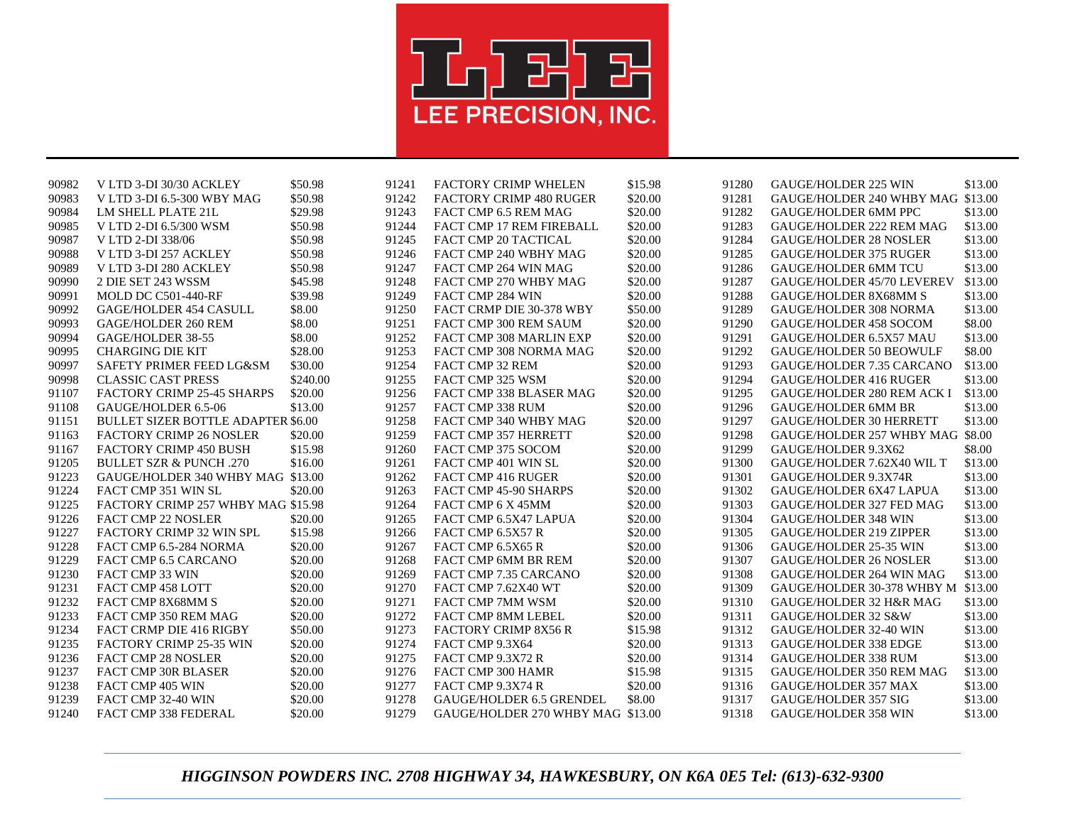

| 90982 | V LTD 3-DI 30/30 ACKLEY                   | \$50.98  | 91241 | <b>FACTORY CRIMP WHELEN</b>       | \$15.98 | 91280 | <b>GAUGE/HOLDER 225 WIN</b>        | \$13.00 |
|-------|-------------------------------------------|----------|-------|-----------------------------------|---------|-------|------------------------------------|---------|
| 90983 | V LTD 3-DI 6.5-300 WBY MAG                | \$50.98  | 91242 | <b>FACTORY CRIMP 480 RUGER</b>    | \$20.00 | 91281 | GAUGE/HOLDER 240 WHBY MAG \$13.00  |         |
| 90984 | LM SHELL PLATE 21L                        | \$29.98  | 91243 | FACT CMP 6.5 REM MAG              | \$20.00 | 91282 | <b>GAUGE/HOLDER 6MM PPC</b>        | \$13.00 |
| 90985 | V LTD 2-DI 6.5/300 WSM                    | \$50.98  | 91244 | FACT CMP 17 REM FIREBALL          | \$20.00 | 91283 | GAUGE/HOLDER 222 REM MAG           | \$13.00 |
| 90987 | V LTD 2-DI 338/06                         | \$50.98  | 91245 | FACT CMP 20 TACTICAL              | \$20.00 | 91284 | <b>GAUGE/HOLDER 28 NOSLER</b>      | \$13.00 |
| 90988 | V LTD 3-DI 257 ACKLEY                     | \$50.98  | 91246 | FACT CMP 240 WBHY MAG             | \$20.00 | 91285 | <b>GAUGE/HOLDER 375 RUGER</b>      | \$13.00 |
| 90989 | V LTD 3-DI 280 ACKLEY                     | \$50.98  | 91247 | FACT CMP 264 WIN MAG              | \$20.00 | 91286 | <b>GAUGE/HOLDER 6MM TCU</b>        | \$13.00 |
| 90990 | 2 DIE SET 243 WSSM                        | \$45.98  | 91248 | FACT CMP 270 WHBY MAG             | \$20.00 | 91287 | GAUGE/HOLDER 45/70 LEVEREV         | \$13.00 |
| 90991 | <b>MOLD DC C501-440-RF</b>                | \$39.98  | 91249 | FACT CMP 284 WIN                  | \$20.00 | 91288 | <b>GAUGE/HOLDER 8X68MM S</b>       | \$13.00 |
| 90992 | <b>GAGE/HOLDER 454 CASULL</b>             | \$8.00   | 91250 | FACT CRMP DIE 30-378 WBY          | \$50.00 | 91289 | <b>GAUGE/HOLDER 308 NORMA</b>      | \$13.00 |
| 90993 | GAGE/HOLDER 260 REM                       | \$8.00   | 91251 | FACT CMP 300 REM SAUM             | \$20.00 | 91290 | GAUGE/HOLDER 458 SOCOM             | \$8.00  |
| 90994 | GAGE/HOLDER 38-55                         | \$8.00   | 91252 | FACT CMP 308 MARLIN EXP           | \$20.00 | 91291 | GAUGE/HOLDER 6.5X57 MAU            | \$13.00 |
| 90995 | <b>CHARGING DIE KIT</b>                   | \$28.00  | 91253 | FACT CMP 308 NORMA MAG            | \$20.00 | 91292 | <b>GAUGE/HOLDER 50 BEOWULF</b>     | \$8.00  |
| 90997 | SAFETY PRIMER FEED LG&SM                  | \$30.00  | 91254 | FACT CMP 32 REM                   | \$20.00 | 91293 | GAUGE/HOLDER 7.35 CARCANO          | \$13.00 |
| 90998 | <b>CLASSIC CAST PRESS</b>                 | \$240.00 | 91255 | FACT CMP 325 WSM                  | \$20.00 | 91294 | <b>GAUGE/HOLDER 416 RUGER</b>      | \$13.00 |
| 91107 | <b>FACTORY CRIMP 25-45 SHARPS</b>         | \$20.00  | 91256 | FACT CMP 338 BLASER MAG           | \$20.00 | 91295 | <b>GAUGE/HOLDER 280 REM ACK I</b>  | \$13.00 |
| 91108 | GAUGE/HOLDER 6.5-06                       | \$13.00  | 91257 | FACT CMP 338 RUM                  | \$20.00 | 91296 | <b>GAUGE/HOLDER 6MM BR</b>         | \$13.00 |
| 91151 | <b>BULLET SIZER BOTTLE ADAPTER \$6.00</b> |          | 91258 | FACT CMP 340 WHBY MAG             | \$20.00 | 91297 | <b>GAUGE/HOLDER 30 HERRETT</b>     | \$13.00 |
| 91163 | <b>FACTORY CRIMP 26 NOSLER</b>            | \$20.00  | 91259 | FACT CMP 357 HERRETT              | \$20.00 | 91298 | GAUGE/HOLDER 257 WHBY MAG \$8.00   |         |
| 91167 | <b>FACTORY CRIMP 450 BUSH</b>             | \$15.98  | 91260 | FACT CMP 375 SOCOM                | \$20.00 | 91299 | GAUGE/HOLDER 9.3X62                | \$8.00  |
| 91205 | <b>BULLET SZR &amp; PUNCH.270</b>         | \$16.00  | 91261 | FACT CMP 401 WIN SL               | \$20.00 | 91300 | GAUGE/HOLDER 7.62X40 WIL T         | \$13.00 |
| 91223 | GAUGE/HOLDER 340 WHBY MAG \$13.00         |          | 91262 | FACT CMP 416 RUGER                | \$20.00 | 91301 | GAUGE/HOLDER 9.3X74R               | \$13.00 |
| 91224 | FACT CMP 351 WIN SL                       | \$20.00  | 91263 | FACT CMP 45-90 SHARPS             | \$20.00 | 91302 | <b>GAUGE/HOLDER 6X47 LAPUA</b>     | \$13.00 |
| 91225 | FACTORY CRIMP 257 WHBY MAG \$15.98        |          | 91264 | FACT CMP 6 X 45MM                 | \$20.00 | 91303 | GAUGE/HOLDER 327 FED MAG           | \$13.00 |
| 91226 | <b>FACT CMP 22 NOSLER</b>                 | \$20.00  | 91265 | FACT CMP 6.5X47 LAPUA             | \$20.00 | 91304 | <b>GAUGE/HOLDER 348 WIN</b>        | \$13.00 |
| 91227 | <b>FACTORY CRIMP 32 WIN SPL</b>           | \$15.98  | 91266 | FACT CMP 6.5X57 R                 | \$20.00 | 91305 | <b>GAUGE/HOLDER 219 ZIPPER</b>     | \$13.00 |
| 91228 | FACT CMP 6.5-284 NORMA                    | \$20.00  | 91267 | FACT CMP 6.5X65 R                 | \$20.00 | 91306 | GAUGE/HOLDER 25-35 WIN             | \$13.00 |
| 91229 | FACT CMP 6.5 CARCANO                      | \$20.00  | 91268 | FACT CMP 6MM BR REM               | \$20.00 | 91307 | <b>GAUGE/HOLDER 26 NOSLER</b>      | \$13.00 |
| 91230 | FACT CMP 33 WIN                           | \$20.00  | 91269 | FACT CMP 7.35 CARCANO             | \$20.00 | 91308 | <b>GAUGE/HOLDER 264 WIN MAG</b>    | \$13.00 |
| 91231 | FACT CMP 458 LOTT                         | \$20.00  | 91270 | FACT CMP 7.62X40 WT               | \$20.00 | 91309 | GAUGE/HOLDER 30-378 WHBY M \$13.00 |         |
| 91232 | FACT CMP 8X68MM S                         | \$20.00  | 91271 | FACT CMP 7MM WSM                  | \$20.00 | 91310 | <b>GAUGE/HOLDER 32 H&amp;R MAG</b> | \$13.00 |
| 91233 | FACT CMP 350 REM MAG                      | \$20.00  | 91272 | FACT CMP 8MM LEBEL                | \$20.00 | 91311 | GAUGE/HOLDER 32 S&W                | \$13.00 |
| 91234 | FACT CRMP DIE 416 RIGBY                   | \$50.00  | 91273 | <b>FACTORY CRIMP 8X56 R</b>       | \$15.98 | 91312 | GAUGE/HOLDER 32-40 WIN             | \$13.00 |
| 91235 | <b>FACTORY CRIMP 25-35 WIN</b>            | \$20.00  | 91274 | FACT CMP 9.3X64                   | \$20.00 | 91313 | <b>GAUGE/HOLDER 338 EDGE</b>       | \$13.00 |
| 91236 | <b>FACT CMP 28 NOSLER</b>                 | \$20.00  | 91275 | FACT CMP 9.3X72 R                 | \$20.00 | 91314 | <b>GAUGE/HOLDER 338 RUM</b>        | \$13.00 |
| 91237 | FACT CMP 30R BLASER                       | \$20.00  | 91276 | FACT CMP 300 HAMR                 | \$15.98 | 91315 | GAUGE/HOLDER 350 REM MAG           | \$13.00 |
| 91238 | FACT CMP 405 WIN                          | \$20.00  | 91277 | FACT CMP 9.3X74 R                 | \$20.00 | 91316 | GAUGE/HOLDER 357 MAX               | \$13.00 |
| 91239 | FACT CMP 32-40 WIN                        | \$20.00  | 91278 | <b>GAUGE/HOLDER 6.5 GRENDEL</b>   | \$8.00  | 91317 | GAUGE/HOLDER 357 SIG               | \$13.00 |
| 91240 | FACT CMP 338 FEDERAL                      | \$20.00  | 91279 | GAUGE/HOLDER 270 WHBY MAG \$13.00 |         | 91318 | <b>GAUGE/HOLDER 358 WIN</b>        | \$13.00 |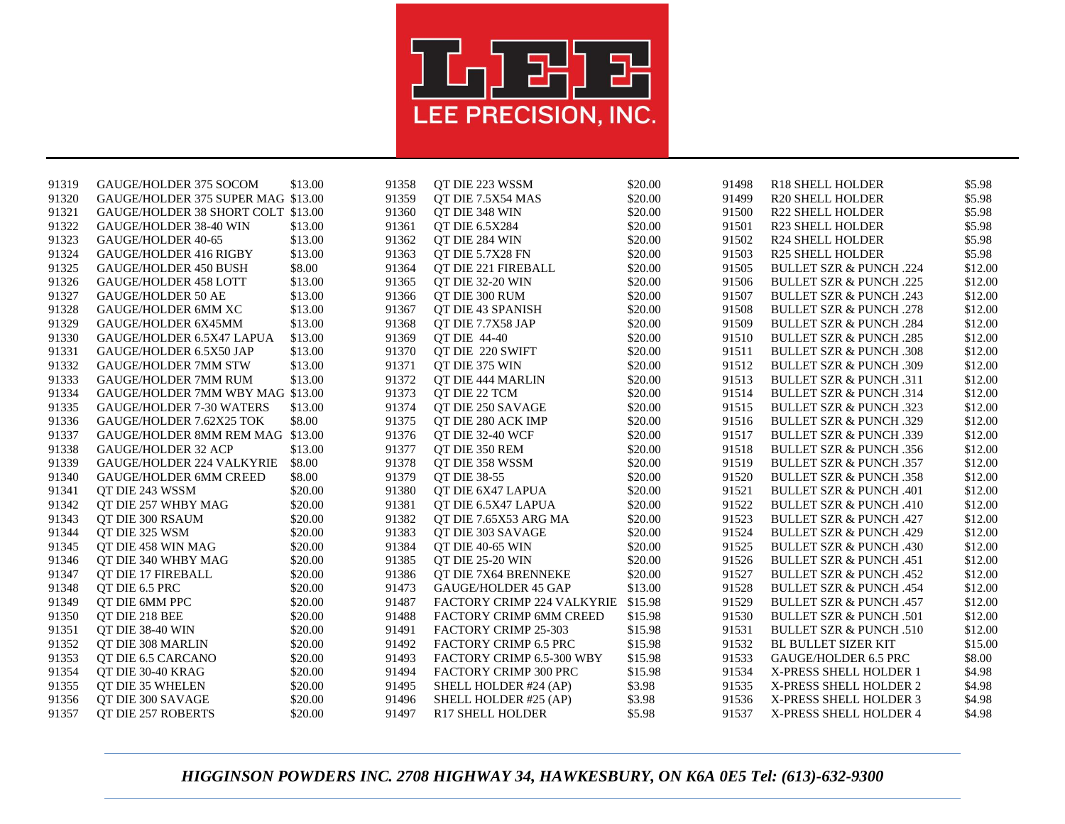

| 91319 | GAUGE/HOLDER 375 SOCOM             | \$13.00 | 91358 | QT DIE 223 WSSM              | \$20.00 | 91498 | <b>R18 SHELL HOLDER</b>            | \$5.98  |
|-------|------------------------------------|---------|-------|------------------------------|---------|-------|------------------------------------|---------|
| 91320 | GAUGE/HOLDER 375 SUPER MAG \$13.00 |         | 91359 | OT DIE 7.5X54 MAS            | \$20.00 | 91499 | <b>R20 SHELL HOLDER</b>            | \$5.98  |
| 91321 | GAUGE/HOLDER 38 SHORT COLT \$13.00 |         | 91360 | OT DIE 348 WIN               | \$20.00 | 91500 | <b>R22 SHELL HOLDER</b>            | \$5.98  |
| 91322 | <b>GAUGE/HOLDER 38-40 WIN</b>      | \$13.00 | 91361 | OT DIE 6.5X284               | \$20.00 | 91501 | R23 SHELL HOLDER                   | \$5.98  |
| 91323 | GAUGE/HOLDER 40-65                 | \$13.00 | 91362 | OT DIE 284 WIN               | \$20.00 | 91502 | <b>R24 SHELL HOLDER</b>            | \$5.98  |
| 91324 | <b>GAUGE/HOLDER 416 RIGBY</b>      | \$13.00 | 91363 | OT DIE 5.7X28 FN             | \$20.00 | 91503 | <b>R25 SHELL HOLDER</b>            | \$5.98  |
| 91325 | <b>GAUGE/HOLDER 450 BUSH</b>       | \$8.00  | 91364 | OT DIE 221 FIREBALL          | \$20.00 | 91505 | <b>BULLET SZR &amp; PUNCH .224</b> | \$12.00 |
| 91326 | <b>GAUGE/HOLDER 458 LOTT</b>       | \$13.00 | 91365 | OT DIE 32-20 WIN             | \$20.00 | 91506 | <b>BULLET SZR &amp; PUNCH .225</b> | \$12.00 |
| 91327 | <b>GAUGE/HOLDER 50 AE</b>          | \$13.00 | 91366 | OT DIE 300 RUM               | \$20.00 | 91507 | <b>BULLET SZR &amp; PUNCH .243</b> | \$12.00 |
| 91328 | GAUGE/HOLDER 6MM XC                | \$13.00 | 91367 | QT DIE 43 SPANISH            | \$20.00 | 91508 | <b>BULLET SZR &amp; PUNCH .278</b> | \$12.00 |
| 91329 | GAUGE/HOLDER 6X45MM                | \$13.00 | 91368 | OT DIE 7.7X58 JAP            | \$20.00 | 91509 | <b>BULLET SZR &amp; PUNCH .284</b> | \$12.00 |
| 91330 | GAUGE/HOLDER 6.5X47 LAPUA          | \$13.00 | 91369 | <b>OT DIE 44-40</b>          | \$20.00 | 91510 | <b>BULLET SZR &amp; PUNCH .285</b> | \$12.00 |
| 91331 | GAUGE/HOLDER 6.5X50 JAP            | \$13.00 | 91370 | QT DIE 220 SWIFT             | \$20.00 | 91511 | <b>BULLET SZR &amp; PUNCH .308</b> | \$12.00 |
| 91332 | <b>GAUGE/HOLDER 7MM STW</b>        | \$13.00 | 91371 | OT DIE 375 WIN               | \$20.00 | 91512 | <b>BULLET SZR &amp; PUNCH .309</b> | \$12.00 |
| 91333 | <b>GAUGE/HOLDER 7MM RUM</b>        | \$13.00 | 91372 | <b>QT DIE 444 MARLIN</b>     | \$20.00 | 91513 | <b>BULLET SZR &amp; PUNCH .311</b> | \$12.00 |
| 91334 | GAUGE/HOLDER 7MM WBY MAG \$13.00   |         | 91373 | OT DIE 22 TCM                | \$20.00 | 91514 | <b>BULLET SZR &amp; PUNCH .314</b> | \$12.00 |
| 91335 | <b>GAUGE/HOLDER 7-30 WATERS</b>    | \$13.00 | 91374 | QT DIE 250 SAVAGE            | \$20.00 | 91515 | <b>BULLET SZR &amp; PUNCH .323</b> | \$12.00 |
| 91336 | GAUGE/HOLDER 7.62X25 TOK           | \$8.00  | 91375 | QT DIE 280 ACK IMP           | \$20.00 | 91516 | <b>BULLET SZR &amp; PUNCH .329</b> | \$12.00 |
| 91337 | GAUGE/HOLDER 8MM REM MAG \$13.00   |         | 91376 | OT DIE 32-40 WCF             | \$20.00 | 91517 | <b>BULLET SZR &amp; PUNCH .339</b> | \$12.00 |
| 91338 | <b>GAUGE/HOLDER 32 ACP</b>         | \$13.00 | 91377 | OT DIE 350 REM               | \$20.00 | 91518 | <b>BULLET SZR &amp; PUNCH .356</b> | \$12.00 |
| 91339 | <b>GAUGE/HOLDER 224 VALKYRIE</b>   | \$8.00  | 91378 | OT DIE 358 WSSM              | \$20.00 | 91519 | <b>BULLET SZR &amp; PUNCH .357</b> | \$12.00 |
| 91340 | <b>GAUGE/HOLDER 6MM CREED</b>      | \$8.00  | 91379 | <b>OT DIE 38-55</b>          | \$20.00 | 91520 | <b>BULLET SZR &amp; PUNCH .358</b> | \$12.00 |
| 91341 | OT DIE 243 WSSM                    | \$20.00 | 91380 | OT DIE 6X47 LAPUA            | \$20.00 | 91521 | <b>BULLET SZR &amp; PUNCH .401</b> | \$12.00 |
| 91342 | OT DIE 257 WHBY MAG                | \$20.00 | 91381 | QT DIE 6.5X47 LAPUA          | \$20.00 | 91522 | <b>BULLET SZR &amp; PUNCH .410</b> | \$12.00 |
| 91343 | QT DIE 300 RSAUM                   | \$20.00 | 91382 | QT DIE 7.65X53 ARG MA        | \$20.00 | 91523 | <b>BULLET SZR &amp; PUNCH .427</b> | \$12.00 |
| 91344 | OT DIE 325 WSM                     | \$20.00 | 91383 | OT DIE 303 SAVAGE            | \$20.00 | 91524 | <b>BULLET SZR &amp; PUNCH .429</b> | \$12.00 |
| 91345 | QT DIE 458 WIN MAG                 | \$20.00 | 91384 | QT DIE 40-65 WIN             | \$20.00 | 91525 | <b>BULLET SZR &amp; PUNCH .430</b> | \$12.00 |
| 91346 | OT DIE 340 WHBY MAG                | \$20.00 | 91385 | OT DIE 25-20 WIN             | \$20.00 | 91526 | <b>BULLET SZR &amp; PUNCH .451</b> | \$12.00 |
| 91347 | OT DIE 17 FIREBALL                 | \$20.00 | 91386 | OT DIE 7X64 BRENNEKE         | \$20.00 | 91527 | <b>BULLET SZR &amp; PUNCH .452</b> | \$12.00 |
| 91348 | OT DIE 6.5 PRC                     | \$20.00 | 91473 | <b>GAUGE/HOLDER 45 GAP</b>   | \$13.00 | 91528 | <b>BULLET SZR &amp; PUNCH .454</b> | \$12.00 |
| 91349 | OT DIE 6MM PPC                     | \$20.00 | 91487 | FACTORY CRIMP 224 VALKYRIE   | \$15.98 | 91529 | <b>BULLET SZR &amp; PUNCH .457</b> | \$12.00 |
| 91350 | OT DIE 218 BEE                     | \$20.00 | 91488 | FACTORY CRIMP 6MM CREED      | \$15.98 | 91530 | <b>BULLET SZR &amp; PUNCH .501</b> | \$12.00 |
| 91351 | OT DIE 38-40 WIN                   | \$20.00 | 91491 | FACTORY CRIMP 25-303         | \$15.98 | 91531 | <b>BULLET SZR &amp; PUNCH .510</b> | \$12.00 |
| 91352 | OT DIE 308 MARLIN                  | \$20.00 | 91492 | <b>FACTORY CRIMP 6.5 PRC</b> | \$15.98 | 91532 | <b>BL BULLET SIZER KIT</b>         | \$15.00 |
| 91353 | OT DIE 6.5 CARCANO                 | \$20.00 | 91493 | FACTORY CRIMP 6.5-300 WBY    | \$15.98 | 91533 | GAUGE/HOLDER 6.5 PRC               | \$8.00  |
| 91354 | OT DIE 30-40 KRAG                  | \$20.00 | 91494 | FACTORY CRIMP 300 PRC        | \$15.98 | 91534 | X-PRESS SHELL HOLDER 1             | \$4.98  |
| 91355 | OT DIE 35 WHELEN                   | \$20.00 | 91495 | SHELL HOLDER #24 (AP)        | \$3.98  | 91535 | X-PRESS SHELL HOLDER 2             | \$4.98  |
| 91356 | QT DIE 300 SAVAGE                  | \$20.00 | 91496 | SHELL HOLDER #25 (AP)        | \$3.98  | 91536 | X-PRESS SHELL HOLDER 3             | \$4.98  |
| 91357 | QT DIE 257 ROBERTS                 | \$20.00 | 91497 | <b>R17 SHELL HOLDER</b>      | \$5.98  | 91537 | X-PRESS SHELL HOLDER 4             | \$4.98  |
|       |                                    |         |       |                              |         |       |                                    |         |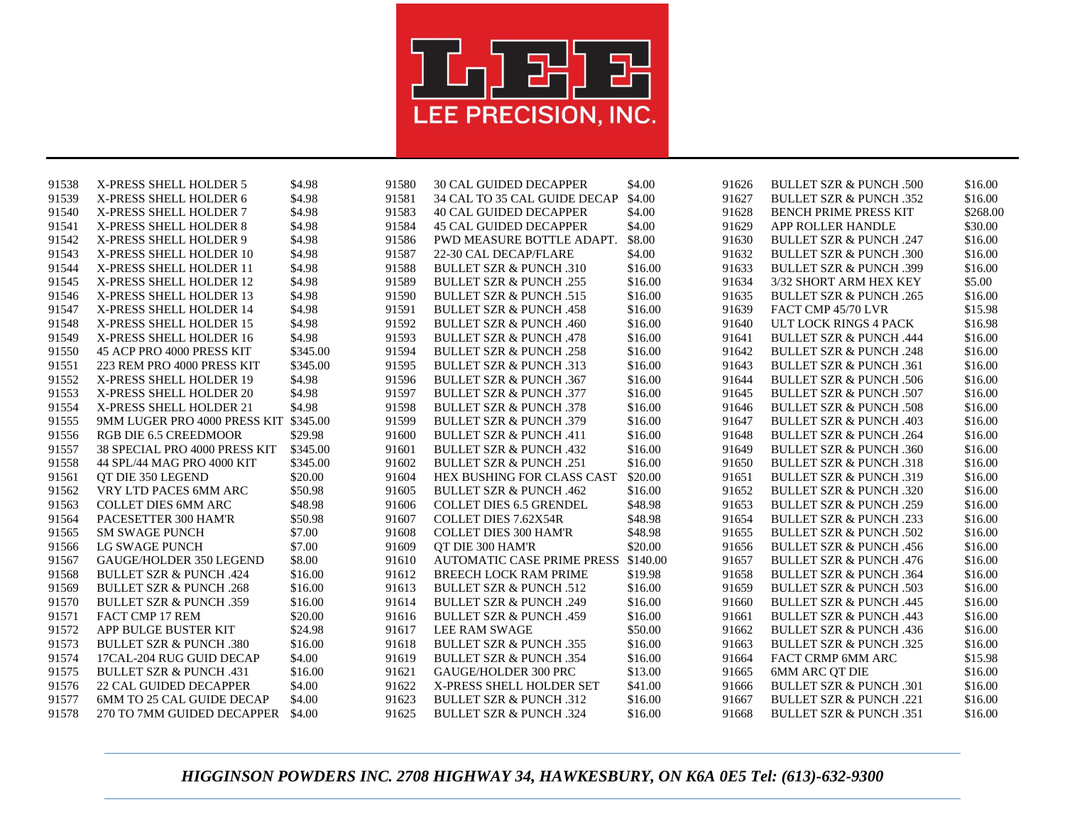

| 91538 | X-PRESS SHELL HOLDER 5             | \$4.98   | 91580 | <b>30 CAL GUIDED DECAPPER</b>       | \$4.00  | 91626 | <b>BULLET SZR &amp; PUNCH .500</b> | \$16.00  |
|-------|------------------------------------|----------|-------|-------------------------------------|---------|-------|------------------------------------|----------|
| 91539 | X-PRESS SHELL HOLDER 6             | \$4.98   | 91581 | 34 CAL TO 35 CAL GUIDE DECAP        | \$4.00  | 91627 | <b>BULLET SZR &amp; PUNCH .352</b> | \$16.00  |
| 91540 | X-PRESS SHELL HOLDER 7             | \$4.98   | 91583 | <b>40 CAL GUIDED DECAPPER</b>       | \$4.00  | 91628 | <b>BENCH PRIME PRESS KIT</b>       | \$268.00 |
| 91541 | X-PRESS SHELL HOLDER 8             | \$4.98   | 91584 | <b>45 CAL GUIDED DECAPPER</b>       | \$4.00  | 91629 | APP ROLLER HANDLE                  | \$30.00  |
| 91542 | X-PRESS SHELL HOLDER 9             | \$4.98   | 91586 | PWD MEASURE BOTTLE ADAPT.           | \$8.00  | 91630 | <b>BULLET SZR &amp; PUNCH .247</b> | \$16.00  |
| 91543 | X-PRESS SHELL HOLDER 10            | \$4.98   | 91587 | 22-30 CAL DECAP/FLARE               | \$4.00  | 91632 | <b>BULLET SZR &amp; PUNCH .300</b> | \$16.00  |
| 91544 | X-PRESS SHELL HOLDER 11            | \$4.98   | 91588 | <b>BULLET SZR &amp; PUNCH .310</b>  | \$16.00 | 91633 | <b>BULLET SZR &amp; PUNCH .399</b> | \$16.00  |
| 91545 | X-PRESS SHELL HOLDER 12            | \$4.98   | 91589 | <b>BULLET SZR &amp; PUNCH .255</b>  | \$16.00 | 91634 | 3/32 SHORT ARM HEX KEY             | \$5.00   |
| 91546 | X-PRESS SHELL HOLDER 13            | \$4.98   | 91590 | <b>BULLET SZR &amp; PUNCH .515</b>  | \$16.00 | 91635 | <b>BULLET SZR &amp; PUNCH.265</b>  | \$16.00  |
| 91547 | X-PRESS SHELL HOLDER 14            | \$4.98   | 91591 | <b>BULLET SZR &amp; PUNCH .458</b>  | \$16.00 | 91639 | FACT CMP 45/70 LVR                 | \$15.98  |
| 91548 | X-PRESS SHELL HOLDER 15            | \$4.98   | 91592 | <b>BULLET SZR &amp; PUNCH .460</b>  | \$16.00 | 91640 | ULT LOCK RINGS 4 PACK              | \$16.98  |
| 91549 | X-PRESS SHELL HOLDER 16            | \$4.98   | 91593 | <b>BULLET SZR &amp; PUNCH .478</b>  | \$16.00 | 91641 | <b>BULLET SZR &amp; PUNCH .444</b> | \$16.00  |
| 91550 | 45 ACP PRO 4000 PRESS KIT          | \$345.00 | 91594 | <b>BULLET SZR &amp; PUNCH .258</b>  | \$16.00 | 91642 | <b>BULLET SZR &amp; PUNCH .248</b> | \$16.00  |
| 91551 | 223 REM PRO 4000 PRESS KIT         | \$345.00 | 91595 | <b>BULLET SZR &amp; PUNCH .313</b>  | \$16.00 | 91643 | <b>BULLET SZR &amp; PUNCH .361</b> | \$16.00  |
| 91552 | X-PRESS SHELL HOLDER 19            | \$4.98   | 91596 | <b>BULLET SZR &amp; PUNCH .367</b>  | \$16.00 | 91644 | <b>BULLET SZR &amp; PUNCH .506</b> | \$16.00  |
| 91553 | X-PRESS SHELL HOLDER 20            | \$4.98   | 91597 | <b>BULLET SZR &amp; PUNCH .377</b>  | \$16.00 | 91645 | <b>BULLET SZR &amp; PUNCH .507</b> | \$16.00  |
| 91554 | X-PRESS SHELL HOLDER 21            | \$4.98   | 91598 | <b>BULLET SZR &amp; PUNCH .378</b>  | \$16.00 | 91646 | <b>BULLET SZR &amp; PUNCH .508</b> | \$16.00  |
| 91555 | 9MM LUGER PRO 4000 PRESS KIT       | \$345.00 | 91599 | <b>BULLET SZR &amp; PUNCH .379</b>  | \$16.00 | 91647 | <b>BULLET SZR &amp; PUNCH .403</b> | \$16.00  |
| 91556 | RGB DIE 6.5 CREEDMOOR              | \$29.98  | 91600 | <b>BULLET SZR &amp; PUNCH .411</b>  | \$16.00 | 91648 | <b>BULLET SZR &amp; PUNCH .264</b> | \$16.00  |
| 91557 | 38 SPECIAL PRO 4000 PRESS KIT      | \$345.00 | 91601 | <b>BULLET SZR &amp; PUNCH .432</b>  | \$16.00 | 91649 | <b>BULLET SZR &amp; PUNCH .360</b> | \$16.00  |
| 91558 | 44 SPL/44 MAG PRO 4000 KIT         | \$345.00 | 91602 | <b>BULLET SZR &amp; PUNCH.251</b>   | \$16.00 | 91650 | <b>BULLET SZR &amp; PUNCH .318</b> | \$16.00  |
| 91561 | OT DIE 350 LEGEND                  | \$20.00  | 91604 | <b>HEX BUSHING FOR CLASS CAST</b>   | \$20.00 | 91651 | <b>BULLET SZR &amp; PUNCH .319</b> | \$16.00  |
| 91562 | VRY LTD PACES 6MM ARC              | \$50.98  | 91605 | <b>BULLET SZR &amp; PUNCH .462</b>  | \$16.00 | 91652 | <b>BULLET SZR &amp; PUNCH .320</b> | \$16.00  |
| 91563 | <b>COLLET DIES 6MM ARC</b>         | \$48.98  | 91606 | <b>COLLET DIES 6.5 GRENDEL</b>      | \$48.98 | 91653 | <b>BULLET SZR &amp; PUNCH .259</b> | \$16.00  |
| 91564 | PACESETTER 300 HAM'R               | \$50.98  | 91607 | <b>COLLET DIES 7.62X54R</b>         | \$48.98 | 91654 | <b>BULLET SZR &amp; PUNCH .233</b> | \$16.00  |
| 91565 | <b>SM SWAGE PUNCH</b>              | \$7.00   | 91608 | <b>COLLET DIES 300 HAM'R</b>        | \$48.98 | 91655 | <b>BULLET SZR &amp; PUNCH .502</b> | \$16.00  |
| 91566 | LG SWAGE PUNCH                     | \$7.00   | 91609 | OT DIE 300 HAM'R                    | \$20.00 | 91656 | <b>BULLET SZR &amp; PUNCH .456</b> | \$16.00  |
| 91567 | <b>GAUGE/HOLDER 350 LEGEND</b>     | \$8.00   | 91610 | AUTOMATIC CASE PRIME PRESS \$140.00 |         | 91657 | <b>BULLET SZR &amp; PUNCH .476</b> | \$16.00  |
| 91568 | <b>BULLET SZR &amp; PUNCH .424</b> | \$16.00  | 91612 | <b>BREECH LOCK RAM PRIME</b>        | \$19.98 | 91658 | <b>BULLET SZR &amp; PUNCH .364</b> | \$16.00  |
| 91569 | <b>BULLET SZR &amp; PUNCH .268</b> | \$16.00  | 91613 | <b>BULLET SZR &amp; PUNCH .512</b>  | \$16.00 | 91659 | <b>BULLET SZR &amp; PUNCH .503</b> | \$16.00  |
| 91570 | <b>BULLET SZR &amp; PUNCH .359</b> | \$16.00  | 91614 | <b>BULLET SZR &amp; PUNCH.249</b>   | \$16.00 | 91660 | <b>BULLET SZR &amp; PUNCH .445</b> | \$16.00  |
| 91571 | FACT CMP 17 REM                    | \$20.00  | 91616 | <b>BULLET SZR &amp; PUNCH .459</b>  | \$16.00 | 91661 | <b>BULLET SZR &amp; PUNCH .443</b> | \$16.00  |
| 91572 | APP BULGE BUSTER KIT               | \$24.98  | 91617 | LEE RAM SWAGE                       | \$50.00 | 91662 | <b>BULLET SZR &amp; PUNCH .436</b> | \$16.00  |
| 91573 | <b>BULLET SZR &amp; PUNCH .380</b> | \$16.00  | 91618 | <b>BULLET SZR &amp; PUNCH .355</b>  | \$16.00 | 91663 | <b>BULLET SZR &amp; PUNCH .325</b> | \$16.00  |
| 91574 | 17CAL-204 RUG GUID DECAP           | \$4.00   | 91619 | <b>BULLET SZR &amp; PUNCH .354</b>  | \$16.00 | 91664 | FACT CRMP 6MM ARC                  | \$15.98  |
| 91575 | <b>BULLET SZR &amp; PUNCH .431</b> | \$16.00  | 91621 | GAUGE/HOLDER 300 PRC                | \$13.00 | 91665 | <b>6MM ARC OT DIE</b>              | \$16.00  |
| 91576 | <b>22 CAL GUIDED DECAPPER</b>      | \$4.00   | 91622 | X-PRESS SHELL HOLDER SET            | \$41.00 | 91666 | <b>BULLET SZR &amp; PUNCH .301</b> | \$16.00  |
| 91577 | 6MM TO 25 CAL GUIDE DECAP          | \$4.00   | 91623 | <b>BULLET SZR &amp; PUNCH.312</b>   | \$16.00 | 91667 | <b>BULLET SZR &amp; PUNCH .221</b> | \$16.00  |
| 91578 | 270 TO 7MM GUIDED DECAPPER         | \$4.00   | 91625 | <b>BULLET SZR &amp; PUNCH .324</b>  | \$16.00 | 91668 | <b>BULLET SZR &amp; PUNCH .351</b> | \$16.00  |
|       |                                    |          |       |                                     |         |       |                                    |          |